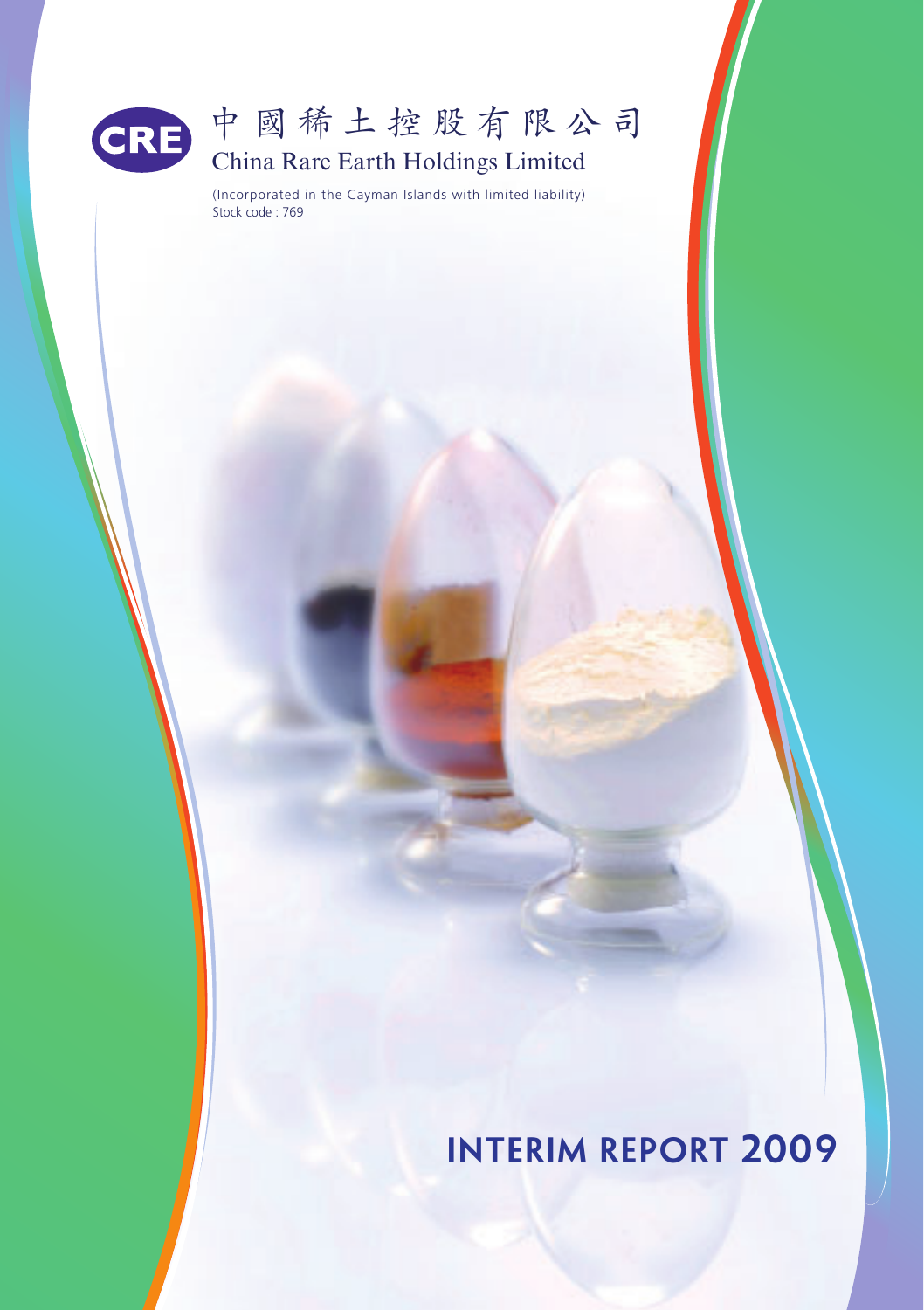

# 中國稀土控股有限公司 China Rare Earth Holdings Limited

(Incorporated in the Cayman Islands with limited liability) Stock code : 769

**Interim Report 2009**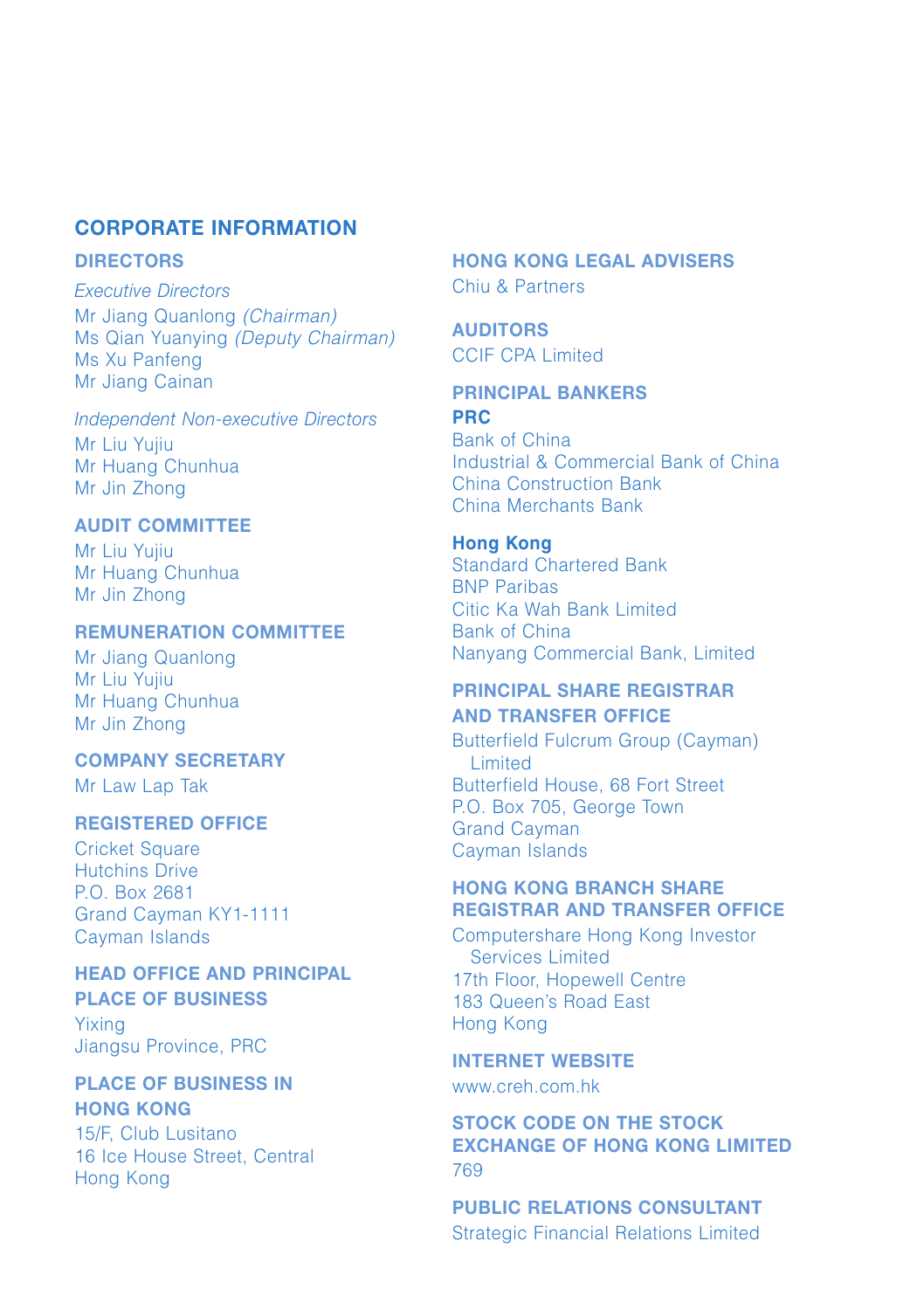## **CORPORATE INFORMATION**

### **DIRECTORS**

Executive Directors Mr Jiang Quanlong (Chairman) Ms Qian Yuanying (Deputy Chairman) Ms Xu Panfeng Mr Jiang Cainan

Independent Non-executive Directors Mr Liu Yujiu Mr Huang Chunhua Mr Jin Zhong

## **AUDIT COMMITTEE**

Mr Liu Yujiu Mr Huang Chunhua Mr Jin Zhong

#### **REMUNERATION COMMITTEE**

Mr Jiang Quanlong Mr Liu Yujiu Mr Huang Chunhua Mr Jin Zhong

#### **COMPANY SECRETARY**

Mr Law Lap Tak

#### **REGISTERED OFFICE**

Cricket Square Hutchins Drive P.O. Box 2681 Grand Cayman KY1-1111 Cayman Islands

#### **HEAD OFFICE AND PRINCIPAL**

**PLACE OF BUSINESS** Yixing Jiangsu Province, PRC

## **PLACE OF BUSINESS IN HONG KONG**

15/F, Club Lusitano 16 Ice House Street, Central Hong Kong

## **HONG KONG LEGAL ADVISERS** Chiu & Partners

**AUDITORS** CCIF CPA Limited

#### **PRINCIPAL BANKERS PRC**

Bank of China Industrial & Commercial Bank of China China Construction Bank China Merchants Bank

### **Hong Kong**

Standard Chartered Bank BNP Paribas Citic Ka Wah Bank Limited Bank of China Nanyang Commercial Bank, Limited

#### **PRINCIPAL SHARE REGISTRAR AND TRANSFER OFFICE**

Butterfield Fulcrum Group (Cayman) Limited Butterfield House, 68 Fort Street P.O. Box 705, George Town Grand Cayman Cayman Islands

## **HONG KONG BRANCH SHARE REGISTRAR AND TRANSFER OFFICE**

Computershare Hong Kong Investor Services Limited 17th Floor, Hopewell Centre 183 Queen's Road East Hong Kong

#### **INTERNET WEBSITE**

www.creh.com.hk

**STOCK CODE ON THE STOCK EXCHANGE OF HONG KONG LIMITED** 769

**PUBLIC RELATIONS CONSULTANT** Strategic Financial Relations Limited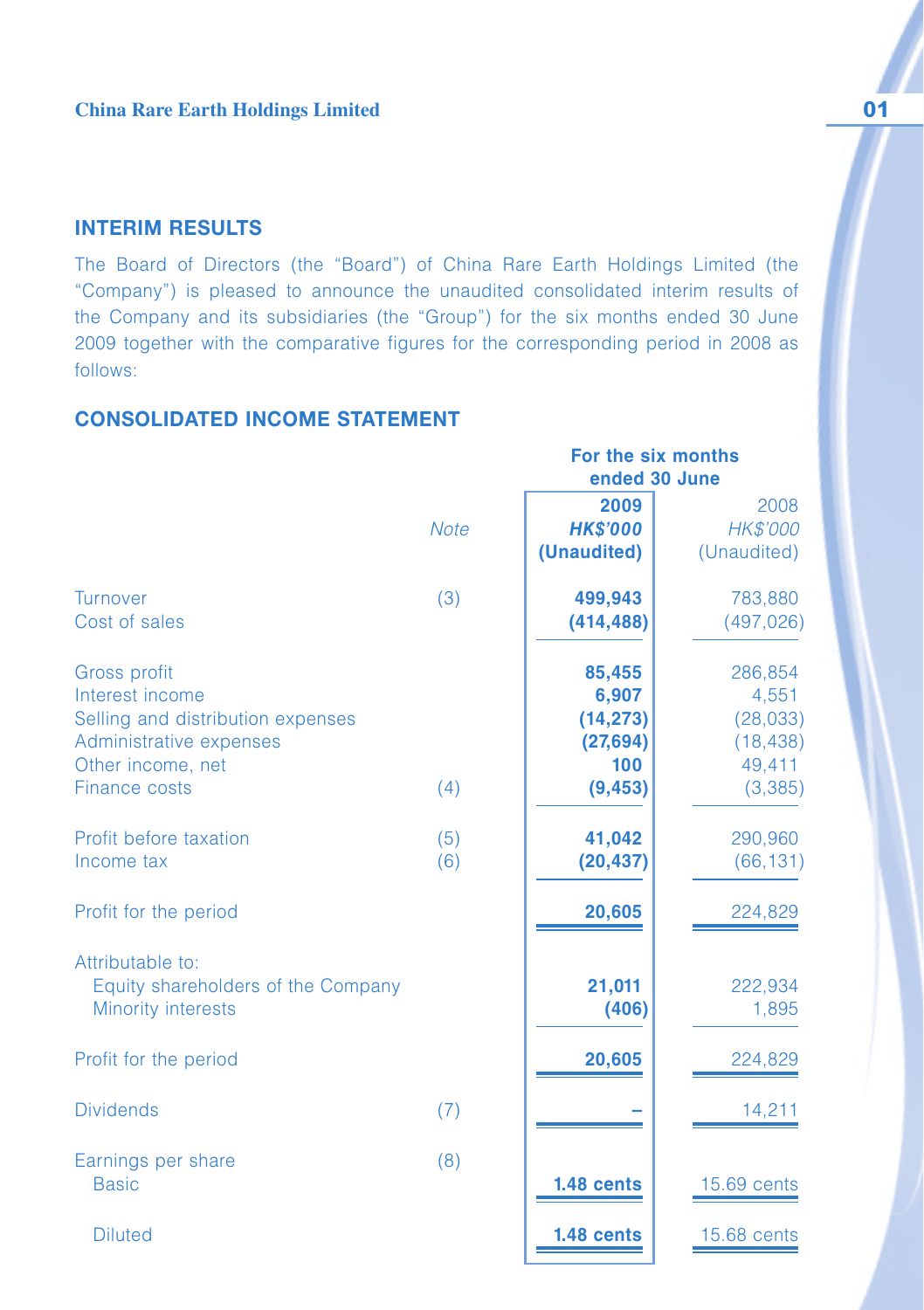## **INTERIM RESULTS**

The Board of Directors (the "Board") of China Rare Earth Holdings Limited (the "Company") is pleased to announce the unaudited consolidated interim results of the Company and its subsidiaries (the "Group") for the six months ended 30 June 2009 together with the comparative figures for the corresponding period in 2008 as follows:

 **For the six months**

## **CONSOLIDATED INCOME STATEMENT**

|                                                                                                                                              |             |                                                              | ended 30 June                                                   |  |  |
|----------------------------------------------------------------------------------------------------------------------------------------------|-------------|--------------------------------------------------------------|-----------------------------------------------------------------|--|--|
|                                                                                                                                              | <b>Note</b> | 2009<br><b>HK\$'000</b><br>(Unaudited)                       | 2008<br>HK\$'000<br>(Unaudited)                                 |  |  |
| Turnover<br>Cost of sales                                                                                                                    | (3)         | 499,943<br>(414, 488)                                        | 783,880<br>(497, 026)                                           |  |  |
| <b>Gross profit</b><br>Interest income<br>Selling and distribution expenses<br>Administrative expenses<br>Other income, net<br>Finance costs | (4)         | 85,455<br>6,907<br>(14, 273)<br>(27, 694)<br>100<br>(9, 453) | 286,854<br>4,551<br>(28, 033)<br>(18, 438)<br>49,411<br>(3,385) |  |  |
| Profit before taxation<br>Income tax                                                                                                         | (5)<br>(6)  | 41,042<br>(20, 437)                                          | 290,960<br>(66, 131)                                            |  |  |
| Profit for the period                                                                                                                        |             | 20,605                                                       | 224,829                                                         |  |  |
| Attributable to:<br>Equity shareholders of the Company<br><b>Minority interests</b>                                                          |             | 21,011<br>(406)                                              | 222,934<br>1,895                                                |  |  |
| Profit for the period                                                                                                                        |             | 20,605                                                       | 224,829                                                         |  |  |
| <b>Dividends</b>                                                                                                                             | (7)         |                                                              | 14,211                                                          |  |  |
| Earnings per share<br><b>Basic</b>                                                                                                           | (8)         | 1.48 cents                                                   | 15.69 cents                                                     |  |  |
| <b>Diluted</b>                                                                                                                               |             | 1.48 cents                                                   | 15.68 cents                                                     |  |  |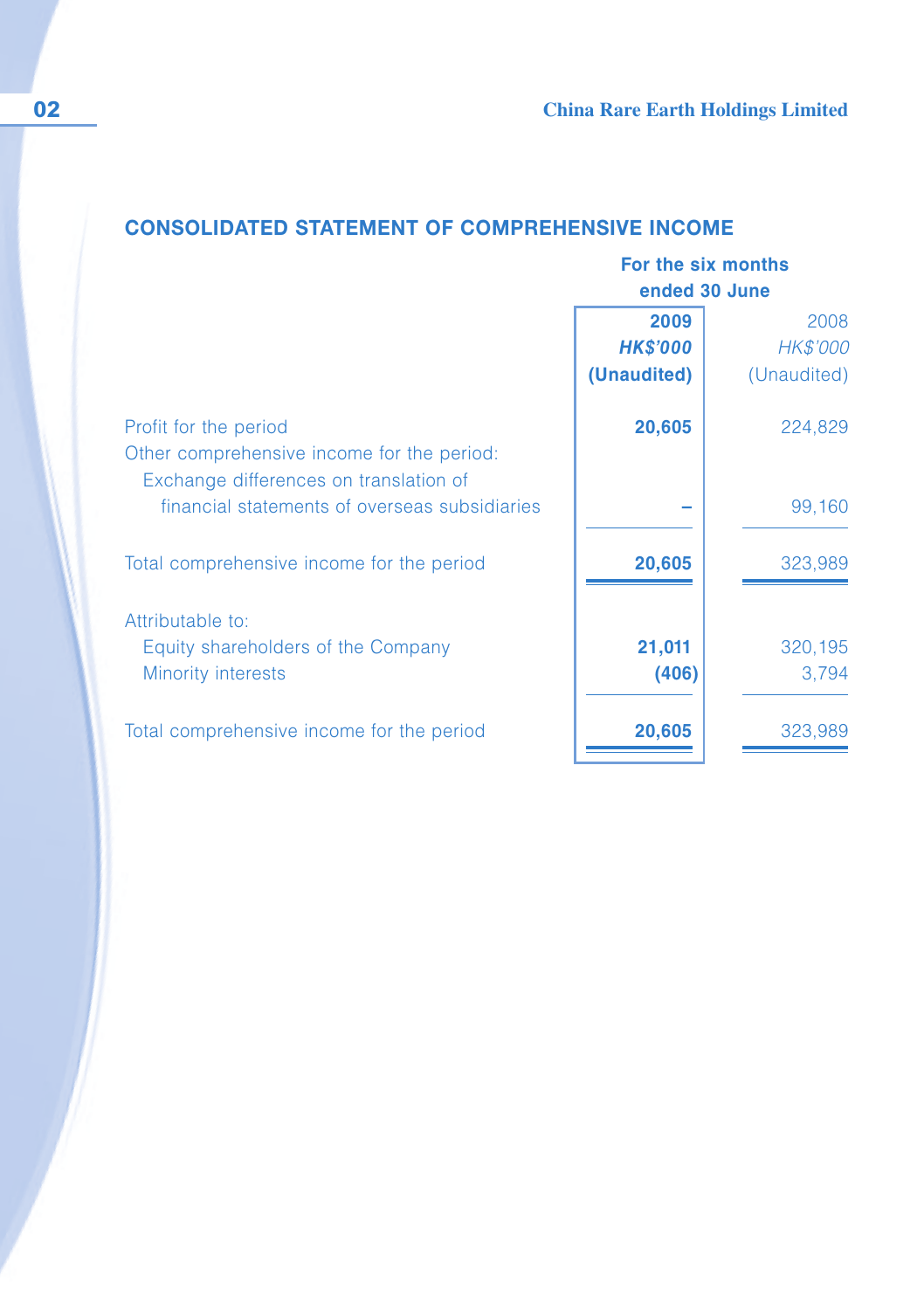## **CONSOLIDATED STATEMENT OF COMPREHENSIVE INCOME**

|                                               |                 | For the six months<br>ended 30 June |  |  |
|-----------------------------------------------|-----------------|-------------------------------------|--|--|
|                                               | 2009            | 2008                                |  |  |
|                                               | <b>HK\$'000</b> | <b>HK\$'000</b>                     |  |  |
|                                               | (Unaudited)     | (Unaudited)                         |  |  |
| Profit for the period                         | 20,605          | 224,829                             |  |  |
| Other comprehensive income for the period:    |                 |                                     |  |  |
| Exchange differences on translation of        |                 |                                     |  |  |
| financial statements of overseas subsidiaries |                 | 99,160                              |  |  |
| Total comprehensive income for the period     | 20,605          | 323,989                             |  |  |
| Attributable to:                              |                 |                                     |  |  |
| Equity shareholders of the Company            | 21,011          | 320,195                             |  |  |
| <b>Minority interests</b>                     | (406)           | 3,794                               |  |  |
| Total comprehensive income for the period     | 20,605          | 323,989                             |  |  |
|                                               |                 |                                     |  |  |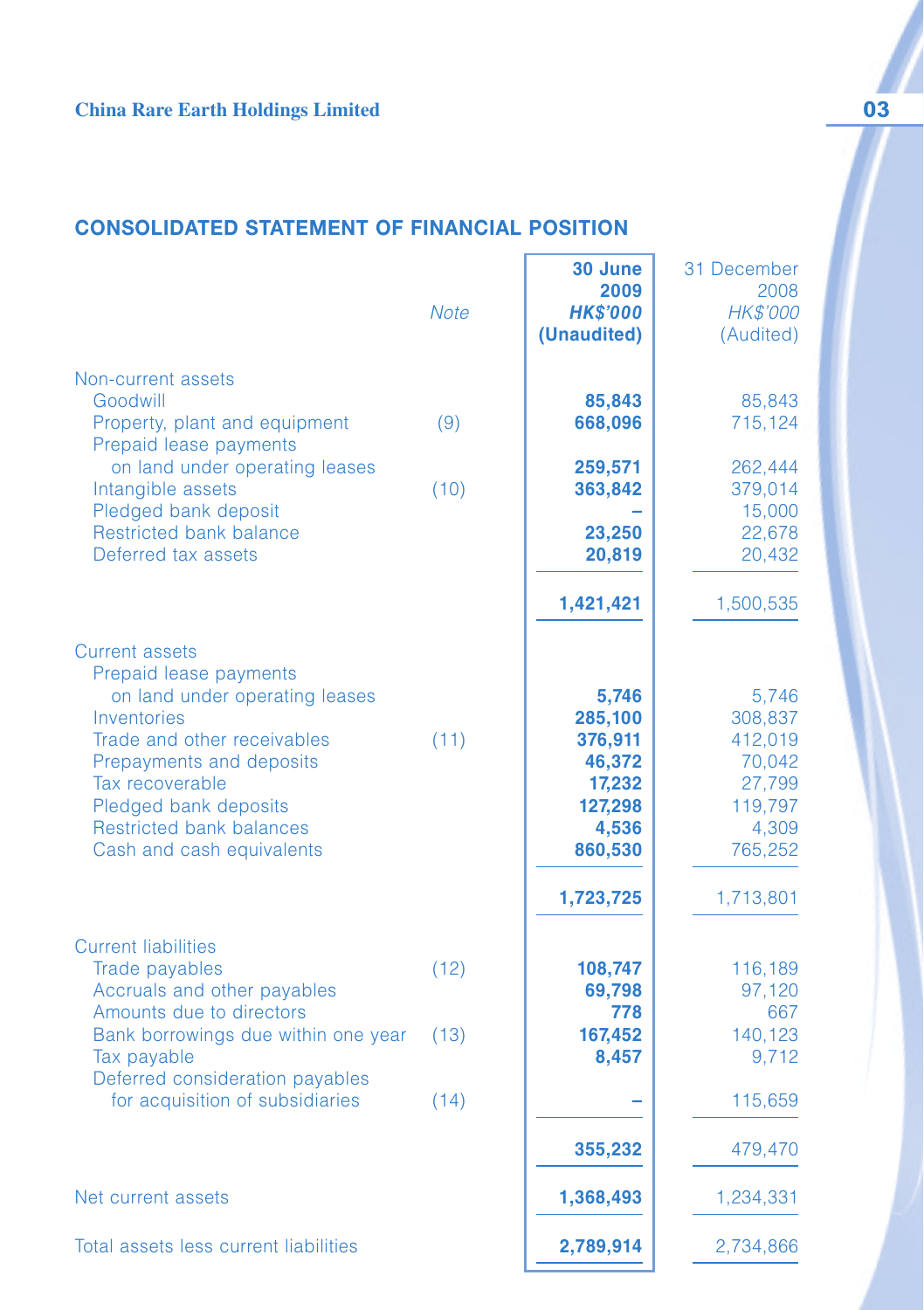## **CONSOLIDATED STATEMENT OF FINANCIAL POSITION**

|                                                                                                                                                                                                                                                                         | <b>Note</b> | 30 June<br>2009<br><b>HK\$'000</b><br>(Unaudited)                                           | 31 December<br>2008<br><b>HK\$'000</b><br>(Audited)                                         |
|-------------------------------------------------------------------------------------------------------------------------------------------------------------------------------------------------------------------------------------------------------------------------|-------------|---------------------------------------------------------------------------------------------|---------------------------------------------------------------------------------------------|
| Non-current assets<br>Goodwill<br>Property, plant and equipment<br>Prepaid lease payments                                                                                                                                                                               | (9)         | 85,843<br>668,096                                                                           | 85,843<br>715,124                                                                           |
| on land under operating leases<br>Intangible assets<br>Pledged bank deposit<br><b>Restricted bank balance</b><br>Deferred tax assets                                                                                                                                    | (10)        | 259,571<br>363,842<br>23,250<br>20,819                                                      | 262,444<br>379,014<br>15,000<br>22,678<br>20,432                                            |
|                                                                                                                                                                                                                                                                         |             | 1,421,421                                                                                   | 1,500,535                                                                                   |
| <b>Current assets</b><br>Prepaid lease payments<br>on land under operating leases<br>Inventories<br>Trade and other receivables<br>Prepayments and deposits<br>Tax recoverable<br>Pledged bank deposits<br><b>Restricted bank balances</b><br>Cash and cash equivalents | (11)        | 5,746<br>285,100<br>376,911<br>46,372<br>17,232<br>127,298<br>4,536<br>860,530<br>1,723,725 | 5,746<br>308,837<br>412,019<br>70,042<br>27,799<br>119,797<br>4,309<br>765,252<br>1,713,801 |
| <b>Current liabilities</b><br>Trade payables<br>Accruals and other payables                                                                                                                                                                                             | (12)        | 108,747<br>69,798                                                                           | 116,189<br>97,120                                                                           |
| Amounts due to directors<br>Bank borrowings due within one year<br>Tax payable<br>Deferred consideration payables                                                                                                                                                       | (13)        | 778<br>167,452<br>8,457                                                                     | 667<br>140,123<br>9,712                                                                     |
| for acquisition of subsidiaries                                                                                                                                                                                                                                         | (14)        |                                                                                             | 115,659                                                                                     |
|                                                                                                                                                                                                                                                                         |             | 355,232                                                                                     | 479,470                                                                                     |
| Net current assets                                                                                                                                                                                                                                                      |             | 1,368,493                                                                                   | 1,234,331                                                                                   |
| Total assets less current liabilities                                                                                                                                                                                                                                   |             | 2,789,914                                                                                   | 2,734,866                                                                                   |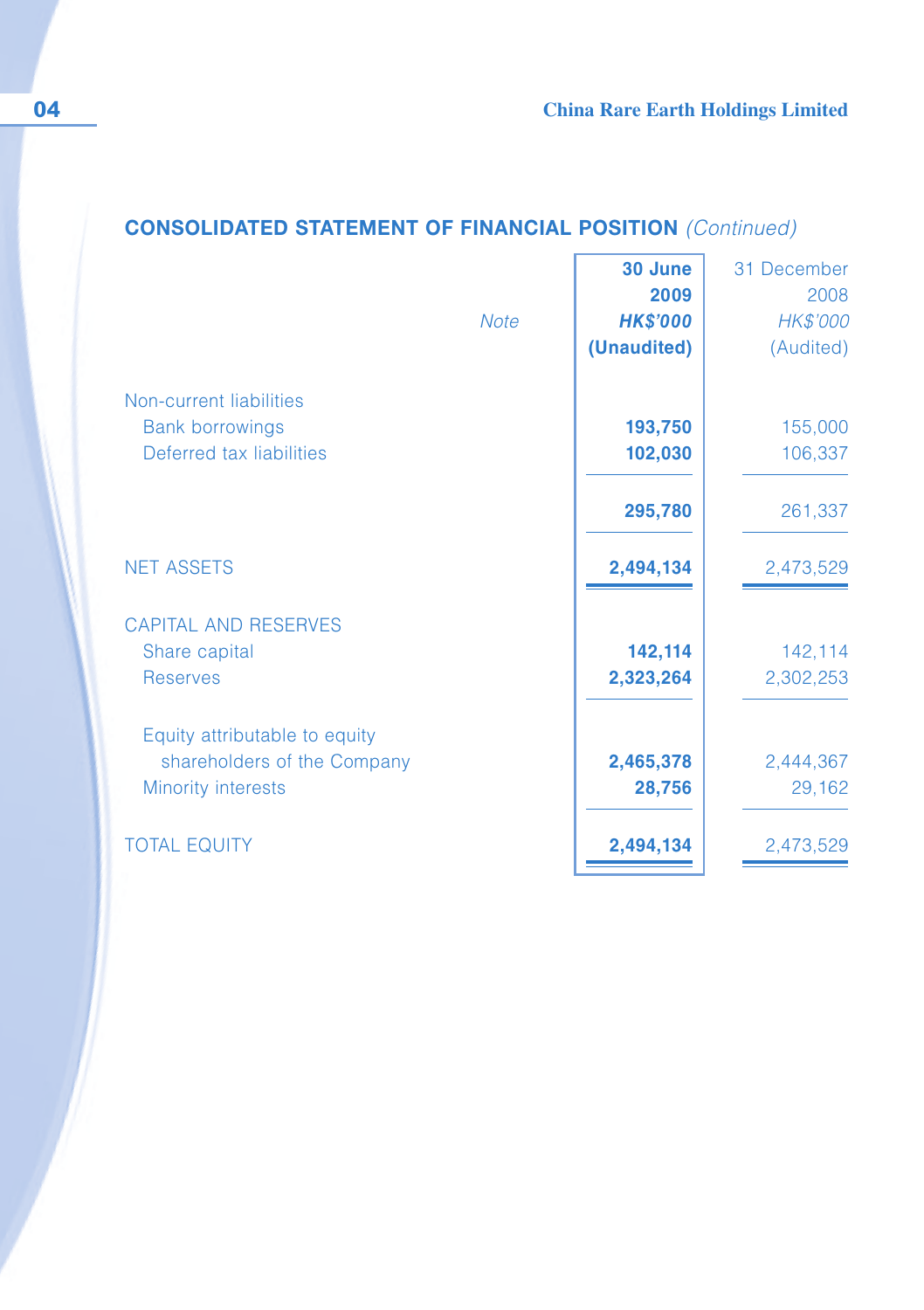## **CONSOLIDATED STATEMENT OF FINANCIAL POSITION** (Continued)

|                               | <b>Note</b> | 30 June<br>2009<br><b>HK\$'000</b><br>(Unaudited) | 31 December<br>2008<br>HK\$'000<br>(Audited) |
|-------------------------------|-------------|---------------------------------------------------|----------------------------------------------|
| Non-current liabilities       |             |                                                   |                                              |
| <b>Bank borrowings</b>        |             | 193,750                                           | 155,000                                      |
| Deferred tax liabilities      |             | 102,030                                           | 106,337                                      |
|                               |             | 295,780                                           | 261,337                                      |
| <b>NET ASSETS</b>             |             | 2,494,134                                         | 2,473,529                                    |
| <b>CAPITAL AND RESERVES</b>   |             |                                                   |                                              |
| Share capital                 |             | 142,114                                           | 142,114                                      |
| <b>Reserves</b>               |             | 2,323,264                                         | 2,302,253                                    |
| Equity attributable to equity |             |                                                   |                                              |
| shareholders of the Company   |             | 2,465,378                                         | 2,444,367                                    |
| <b>Minority interests</b>     |             | 28,756                                            | 29,162                                       |
| <b>TOTAL EQUITY</b>           |             | 2,494,134                                         | 2,473,529                                    |
|                               |             |                                                   |                                              |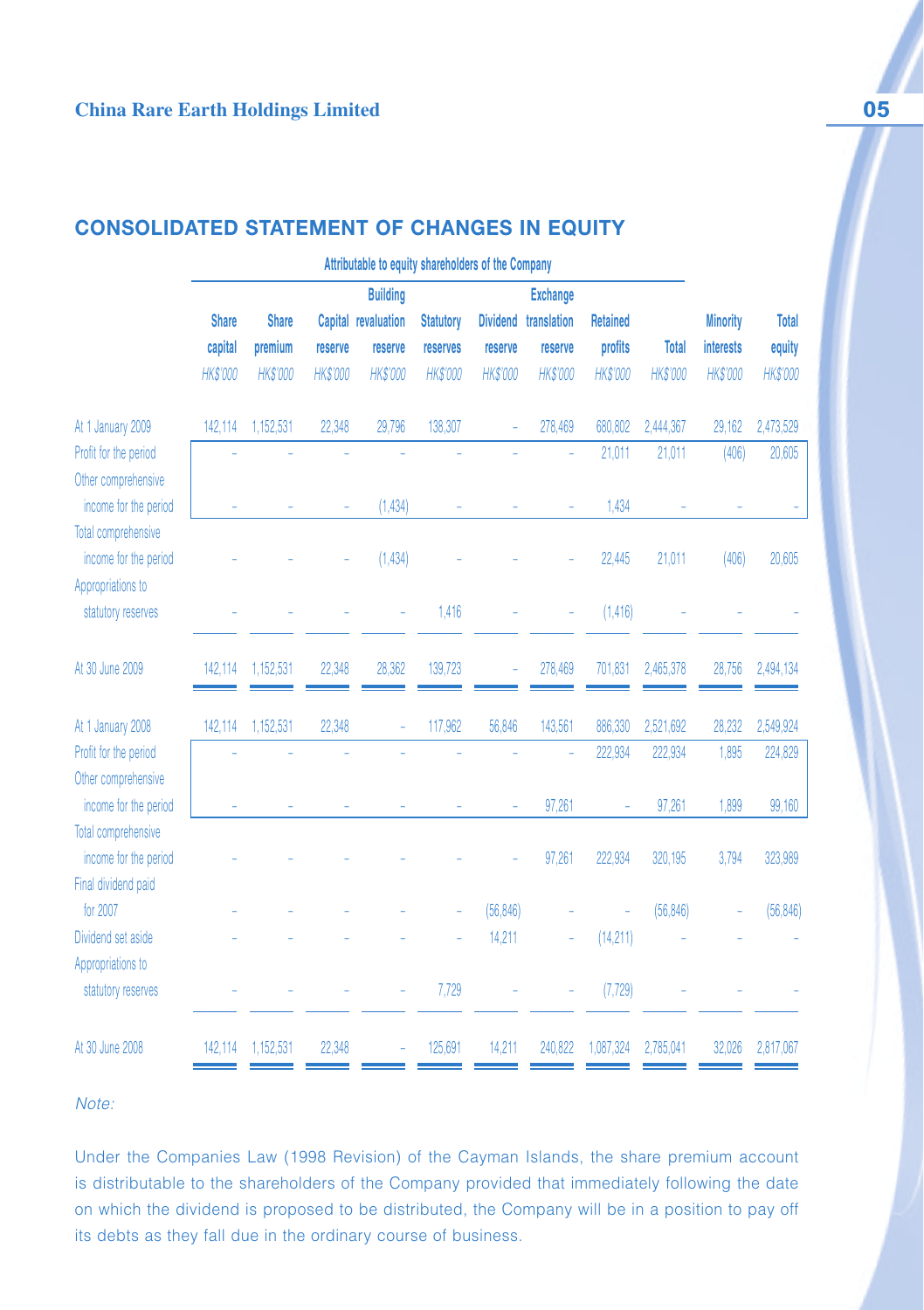## **CONSOLIDATED STATEMENT OF CHANGES IN EQUITY**

|                            | Attributable to equity shareholders of the Company |                 |          |                     |                  |                 |                 |                 |                 |                  |                 |
|----------------------------|----------------------------------------------------|-----------------|----------|---------------------|------------------|-----------------|-----------------|-----------------|-----------------|------------------|-----------------|
|                            |                                                    |                 |          | <b>Building</b>     |                  |                 | <b>Exchange</b> |                 |                 |                  |                 |
|                            | <b>Share</b>                                       | <b>Share</b>    |          | Capital revaluation | <b>Statutory</b> | <b>Dividend</b> | translation     | <b>Retained</b> |                 | <b>Minority</b>  | <b>Total</b>    |
|                            | capital                                            | premium         | reserve  | reserve             | reserves         | reserve         | reserve         | profits         | <b>Total</b>    | <b>interests</b> | equity          |
|                            | <b>HK\$'000</b>                                    | <b>HK\$'000</b> | HK\$'000 | <b>HK\$'000</b>     | <b>HK\$'000</b>  | <b>HK\$'000</b> | <b>HK\$'000</b> | <b>HK\$'000</b> | <b>HK\$'000</b> | HK\$'000         | <b>HK\$'000</b> |
| At 1 January 2009          | 142,114                                            | 1,152,531       | 22,348   | 29,796              | 138,307          |                 | 278,469         | 680,802         | 2,444,367       | 29,162           | 2,473,529       |
| Profit for the period      |                                                    |                 |          |                     |                  |                 |                 | 21,011          | 21,011          | (406)            | 20,605          |
| Other comprehensive        |                                                    |                 |          |                     |                  |                 |                 |                 |                 |                  |                 |
| income for the period      |                                                    |                 |          | (1, 434)            |                  |                 |                 | 1,434           |                 |                  |                 |
| Total comprehensive        |                                                    |                 |          |                     |                  |                 |                 |                 |                 |                  |                 |
| income for the period      |                                                    |                 |          | (1,434)             |                  |                 |                 | 22,445          | 21,011          | (406)            | 20,605          |
| Appropriations to          |                                                    |                 |          |                     |                  |                 |                 |                 |                 |                  |                 |
| statutory reserves         |                                                    |                 |          |                     | 1,416            |                 |                 | (1,416)         |                 |                  |                 |
|                            |                                                    |                 |          |                     |                  |                 |                 |                 |                 |                  |                 |
| At 30 June 2009            | 142,114                                            | 1,152,531       | 22,348   | 28,362              | 139,723          |                 | 278,469         | 701,831         | 2,465,378       | 28,756           | 2,494,134       |
|                            |                                                    |                 |          |                     |                  |                 |                 |                 |                 |                  |                 |
| At 1 January 2008          | 142,114                                            | 1,152,531       | 22,348   |                     | 117,962          | 56,846          | 143,561         | 886,330         | 2,521,692       | 28,232           | 2,549,924       |
| Profit for the period      |                                                    |                 |          |                     |                  |                 |                 | 222,934         | 222,934         | 1,895            | 224,829         |
| Other comprehensive        |                                                    |                 |          |                     |                  |                 |                 |                 |                 |                  |                 |
| income for the period      |                                                    |                 |          |                     |                  |                 | 97.261          |                 | 97,261          | 1.899            | 99,160          |
| <b>Total comprehensive</b> |                                                    |                 |          |                     |                  |                 |                 |                 |                 |                  |                 |
| income for the period      |                                                    |                 |          |                     |                  |                 | 97,261          | 222,934         | 320,195         | 3,794            | 323,989         |
| Final dividend paid        |                                                    |                 |          |                     |                  |                 |                 |                 |                 |                  |                 |
| for 2007                   |                                                    |                 |          |                     |                  | (56, 846)       |                 |                 | (56, 846)       |                  | (56, 846)       |
| Dividend set aside         |                                                    |                 |          |                     |                  | 14,211          |                 | (14,211)        |                 |                  |                 |
| Appropriations to          |                                                    |                 |          |                     |                  |                 |                 |                 |                 |                  |                 |
| statutory reserves         |                                                    |                 |          |                     | 7,729            |                 |                 | (7, 729)        |                 |                  |                 |
| At 30 June 2008            | 142,114                                            | 1,152,531       | 22,348   |                     | 125,691          | 14,211          | 240,822         | 1,087,324       | 2,785,041       | 32,026           | 2,817,067       |

### Note:

Under the Companies Law (1998 Revision) of the Cayman Islands, the share premium account is distributable to the shareholders of the Company provided that immediately following the date on which the dividend is proposed to be distributed, the Company will be in a position to pay off its debts as they fall due in the ordinary course of business.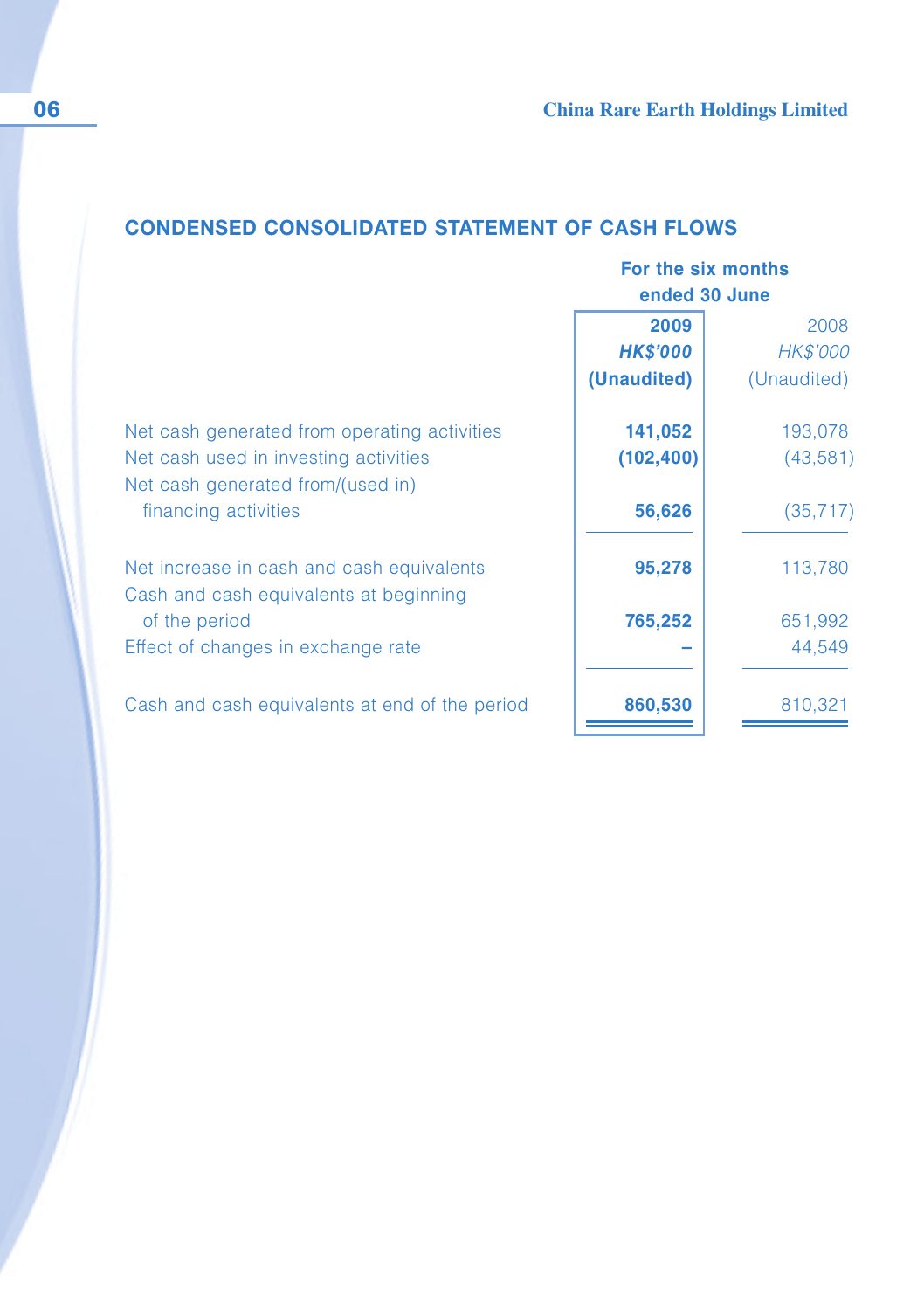## **CONDENSED CONSOLIDATED STATEMENT OF CASH FLOWS**

|                                                                                     | For the six months |             |  |
|-------------------------------------------------------------------------------------|--------------------|-------------|--|
|                                                                                     | ended 30 June      |             |  |
|                                                                                     | 2009               | 2008        |  |
|                                                                                     | <b>HK\$'000</b>    | HK\$'000    |  |
|                                                                                     | (Unaudited)        | (Unaudited) |  |
| Net cash generated from operating activities                                        | 141,052            | 193,078     |  |
| Net cash used in investing activities<br>Net cash generated from/(used in)          | (102, 400)         | (43,581)    |  |
| financing activities                                                                | 56,626             | (35, 717)   |  |
| Net increase in cash and cash equivalents<br>Cash and cash equivalents at beginning | 95,278             | 113,780     |  |
| of the period                                                                       | 765,252            | 651,992     |  |
| Effect of changes in exchange rate                                                  |                    | 44,549      |  |
| Cash and cash equivalents at end of the period                                      | 860,530            | 810,321     |  |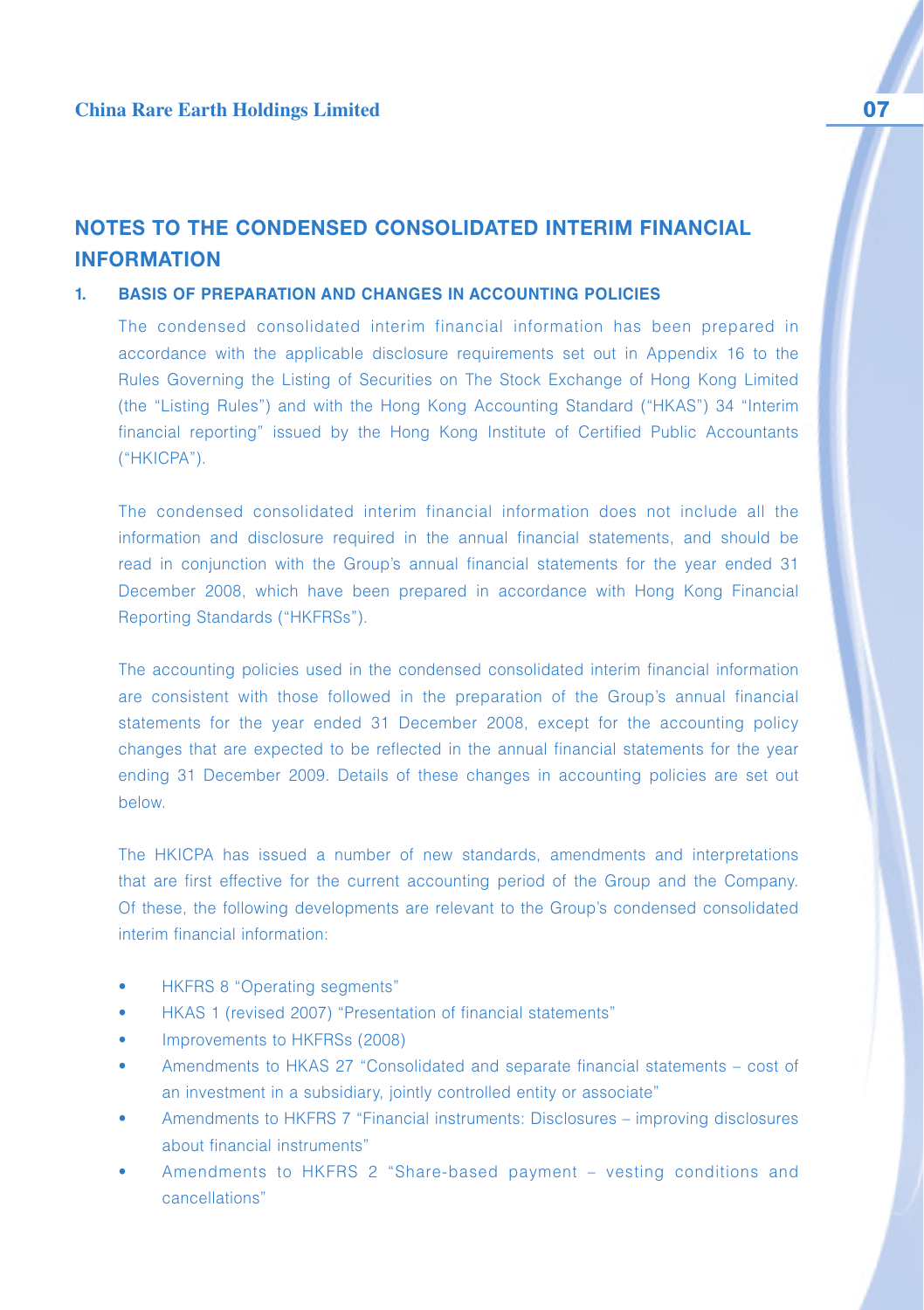## **NOTES TO THE CONDENSED CONSOLIDATED INTERIM FINANCIAL INFORMATION**

#### **1. BASIS OF PREPARATION AND CHANGES IN ACCOUNTING POLICIES**

The condensed consolidated interim financial information has been prepared in accordance with the applicable disclosure requirements set out in Appendix 16 to the Rules Governing the Listing of Securities on The Stock Exchange of Hong Kong Limited (the "Listing Rules") and with the Hong Kong Accounting Standard ("HKAS") 34 "Interim financial reporting" issued by the Hong Kong Institute of Certified Public Accountants ("HKICPA").

The condensed consolidated interim financial information does not include all the information and disclosure required in the annual financial statements, and should be read in conjunction with the Group's annual financial statements for the year ended 31 December 2008, which have been prepared in accordance with Hong Kong Financial Reporting Standards ("HKFRSs").

The accounting policies used in the condensed consolidated interim financial information are consistent with those followed in the preparation of the Group's annual financial statements for the year ended 31 December 2008, except for the accounting policy changes that are expected to be reflected in the annual financial statements for the year ending 31 December 2009. Details of these changes in accounting policies are set out below.

The HKICPA has issued a number of new standards, amendments and interpretations that are first effective for the current accounting period of the Group and the Company. Of these, the following developments are relevant to the Group's condensed consolidated interim financial information:

- HKFRS 8 "Operating segments"
- HKAS 1 (revised 2007) "Presentation of financial statements"
- Improvements to HKFRSs (2008)
- Amendments to HKAS 27 "Consolidated and separate financial statements cost of an investment in a subsidiary, jointly controlled entity or associate"
- Amendments to HKFRS 7 "Financial instruments: Disclosures improving disclosures about financial instruments"
- Amendments to HKFRS 2 "Share-based payment vesting conditions and cancellations"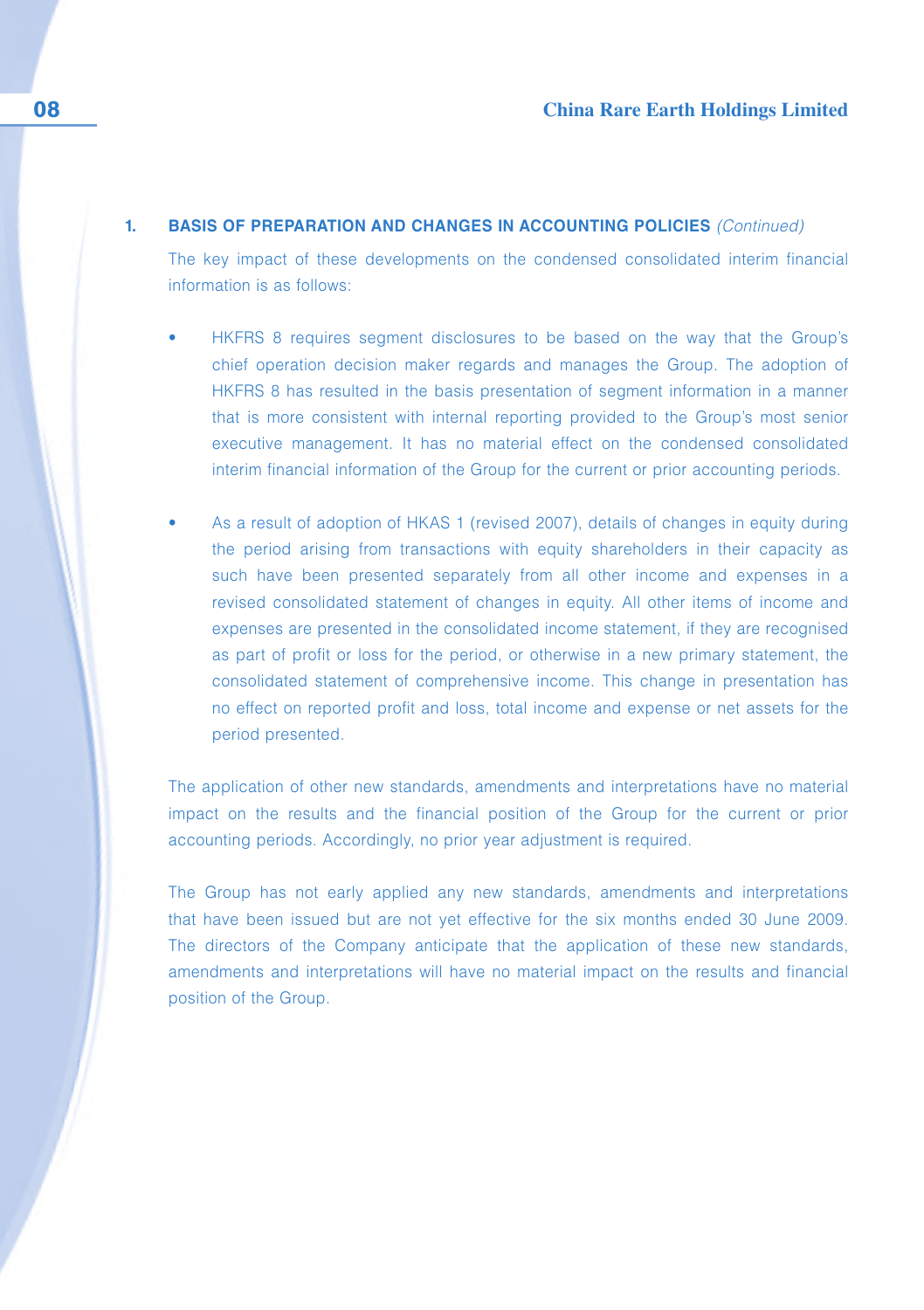#### **1. BASIS OF PREPARATION AND CHANGES IN ACCOUNTING POLICIES** (Continued)

The key impact of these developments on the condensed consolidated interim financial information is as follows:

- HKFRS 8 requires segment disclosures to be based on the way that the Group's chief operation decision maker regards and manages the Group. The adoption of HKFRS 8 has resulted in the basis presentation of segment information in a manner that is more consistent with internal reporting provided to the Group's most senior executive management. It has no material effect on the condensed consolidated interim financial information of the Group for the current or prior accounting periods.
- As a result of adoption of HKAS 1 (revised 2007), details of changes in equity during the period arising from transactions with equity shareholders in their capacity as such have been presented separately from all other income and expenses in a revised consolidated statement of changes in equity. All other items of income and expenses are presented in the consolidated income statement, if they are recognised as part of profit or loss for the period, or otherwise in a new primary statement, the consolidated statement of comprehensive income. This change in presentation has no effect on reported profit and loss, total income and expense or net assets for the period presented.

The application of other new standards, amendments and interpretations have no material impact on the results and the financial position of the Group for the current or prior accounting periods. Accordingly, no prior year adjustment is required.

The Group has not early applied any new standards, amendments and interpretations that have been issued but are not yet effective for the six months ended 30 June 2009. The directors of the Company anticipate that the application of these new standards, amendments and interpretations will have no material impact on the results and financial position of the Group.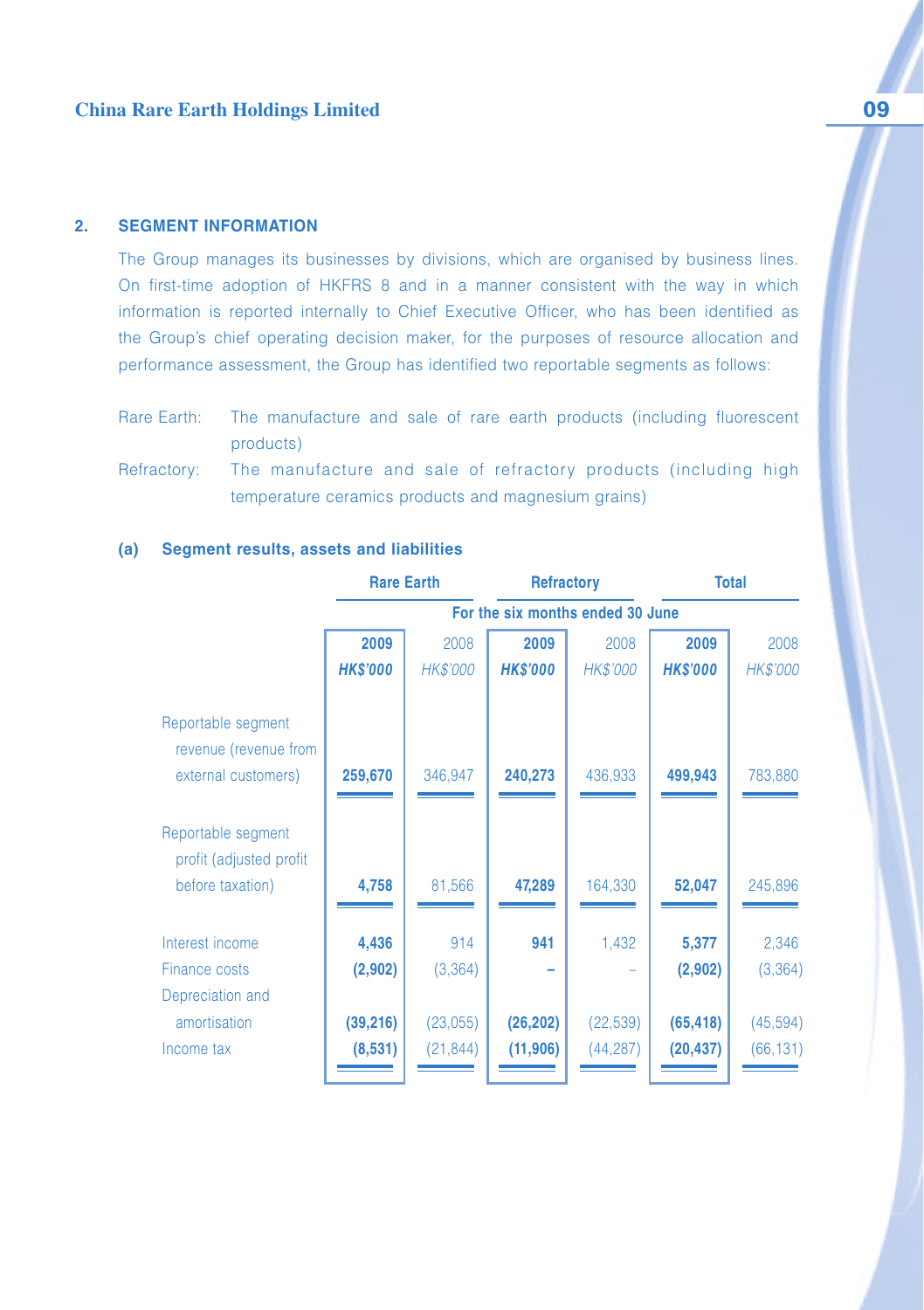#### **2. SEGMENT INFORMATION**

The Group manages its businesses by divisions, which are organised by business lines. On first-time adoption of HKFRS 8 and in a manner consistent with the way in which information is reported internally to Chief Executive Officer, who has been identified as the Group's chief operating decision maker, for the purposes of resource allocation and performance assessment, the Group has identified two reportable segments as follows:

- Rare Earth: The manufacture and sale of rare earth products (including fluorescent products)
- Refractory: The manufacture and sale of refractory products (including high temperature ceramics products and magnesium grains)

|                                               | <b>Rare Earth</b> |                 | <b>Refractory</b> |                                  | <b>Total</b>    |           |
|-----------------------------------------------|-------------------|-----------------|-------------------|----------------------------------|-----------------|-----------|
|                                               |                   |                 |                   | For the six months ended 30 June |                 |           |
|                                               | 2009              | 2008            | 2009              | 2008                             | 2009            | 2008      |
|                                               | <b>HK\$'000</b>   | <b>HK\$'000</b> | <b>HK\$'000</b>   | <b>HK\$'000</b>                  | <b>HK\$'000</b> | HK\$'000  |
| Reportable segment<br>revenue (revenue from   |                   |                 |                   |                                  |                 |           |
| external customers)                           | 259,670           | 346,947         | 240,273           | 436,933                          | 499,943         | 783,880   |
| Reportable segment<br>profit (adjusted profit |                   |                 |                   |                                  |                 |           |
| before taxation)                              | 4,758             | 81,566          | 47,289            | 164,330                          | 52,047          | 245,896   |
| Interest income                               | 4,436             | 914             | 941               | 1,432                            | 5,377           | 2,346     |
| Finance costs                                 | (2,902)           | (3, 364)        |                   |                                  | (2,902)         | (3, 364)  |
| Depreciation and                              |                   |                 |                   |                                  |                 |           |
| amortisation                                  | (39, 216)         | (23,055)        | (26, 202)         | (22, 539)                        | (65, 418)       | (45, 594) |
| Income tax                                    | (8,531)           | (21, 844)       | (11, 906)         | (44,287)                         | (20, 437)       | (66, 131) |

#### **(a) Segment results, assets and liabilities**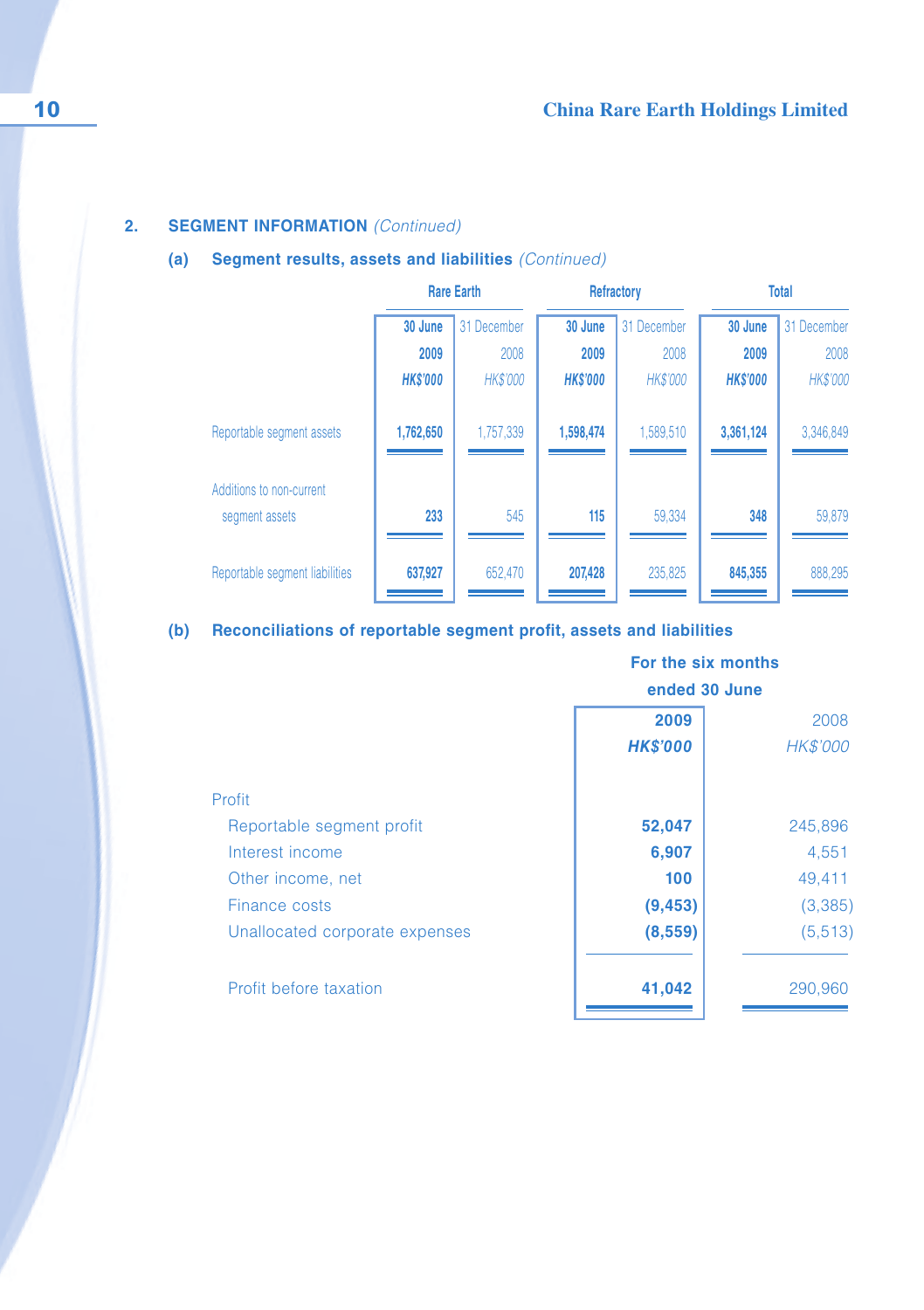## **2. SEGMENT INFORMATION** (Continued)

## **(a) Segment results, assets and liabilities** (Continued)

|                                | <b>Rare Earth</b> |                 | Refractory      |                 | <b>Total</b>    |                 |
|--------------------------------|-------------------|-----------------|-----------------|-----------------|-----------------|-----------------|
|                                | 30 June           | 31 December     | 30 June         | 31 December     | 30 June         | 31 December     |
|                                | 2009              | 2008            | 2009            | 2008            | 2009            | 2008            |
|                                | <b>HKS'000</b>    | <b>HK\$'000</b> | <b>HK\$'000</b> | <b>HK\$'000</b> | <b>HK\$'000</b> | <b>HK\$'000</b> |
| Reportable segment assets      | 1,762,650         | 1,757,339       | 1,598,474       | 1,589,510       | 3,361,124       | 3,346,849       |
| Additions to non-current       |                   |                 |                 |                 |                 |                 |
| segment assets                 | 233               | 545             | 115             | 59.334          | 348             | 59,879          |
| Reportable segment liabilities | 637,927           | 652,470         | 207,428         | 235,825         | 845,355         | 888,295         |

## **(b) Reconciliations of reportable segment profit, assets and liabilities**

|                                | For the six months<br>ended 30 June |          |  |
|--------------------------------|-------------------------------------|----------|--|
|                                | 2009                                | 2008     |  |
|                                | <b>HK\$'000</b>                     | HK\$'000 |  |
| Profit                         |                                     |          |  |
| Reportable segment profit      | 52,047                              | 245,896  |  |
| Interest income                | 6,907                               | 4,551    |  |
| Other income, net              | 100                                 | 49,411   |  |
| Finance costs                  | (9, 453)                            | (3,385)  |  |
| Unallocated corporate expenses | (8,559)                             | (5, 513) |  |
| Profit before taxation         | 41,042                              | 290,960  |  |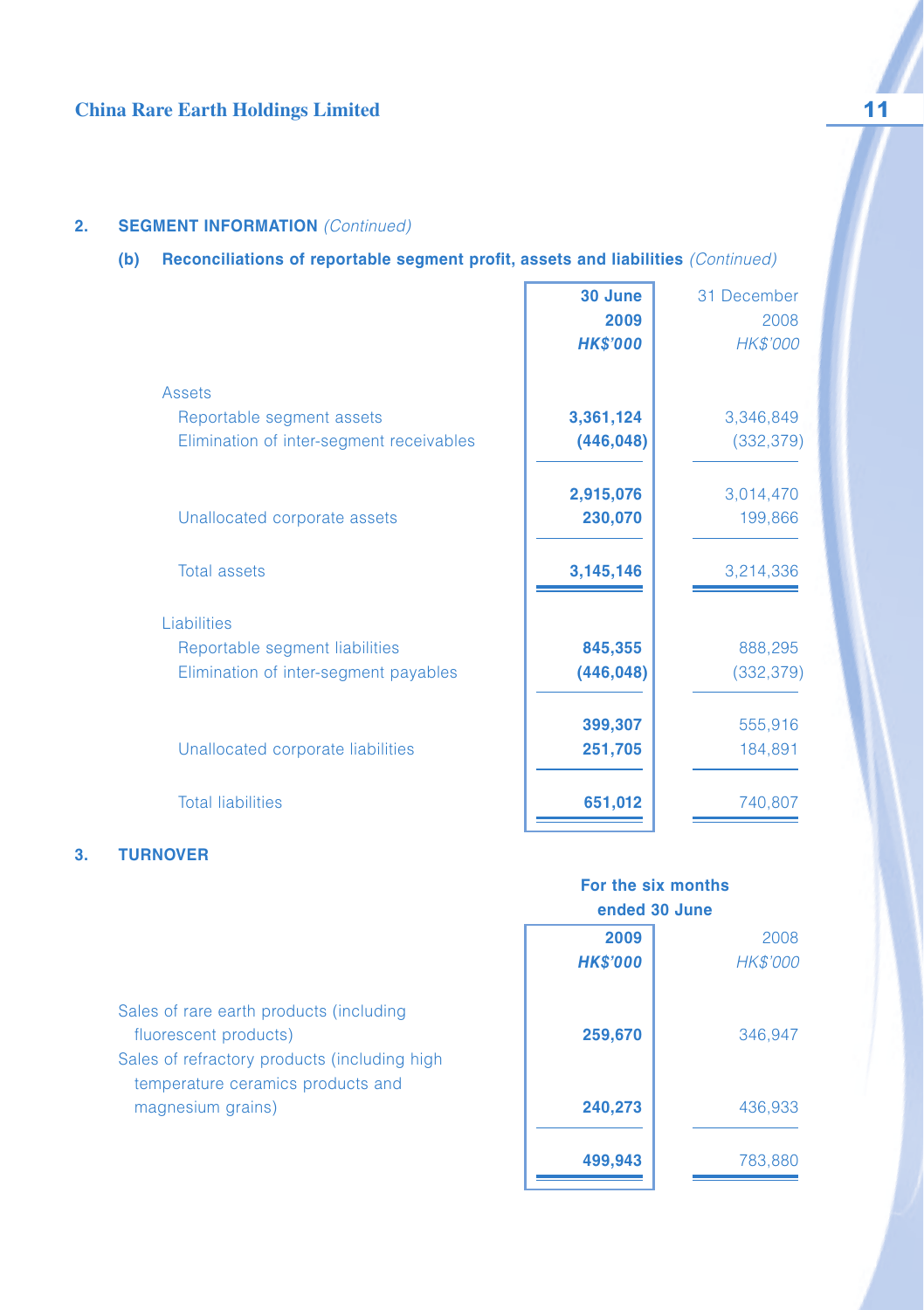## **2. SEGMENT INFORMATION** (Continued)

## **(b) Reconciliations of reportable segment profit, assets and liabilities** (Continued)

|                                          | 30 June<br>2009<br><b>HK\$'000</b> | 31 December<br>2008<br>HK\$'000 |
|------------------------------------------|------------------------------------|---------------------------------|
| Assets                                   |                                    |                                 |
| Reportable segment assets                | 3,361,124                          | 3,346,849                       |
| Elimination of inter-segment receivables | (446, 048)                         | (332, 379)                      |
|                                          | 2,915,076                          | 3,014,470                       |
| Unallocated corporate assets             | 230,070                            | 199,866                         |
| <b>Total assets</b>                      | 3,145,146                          | 3,214,336                       |
| Liabilities                              |                                    |                                 |
| Reportable segment liabilities           | 845,355                            | 888,295                         |
| Elimination of inter-segment payables    | (446, 048)                         | (332, 379)                      |
|                                          | 399,307                            | 555,916                         |
| Unallocated corporate liabilities        | 251,705                            | 184,891                         |
| <b>Total liabilities</b>                 | 651,012                            | 740,807                         |

## **3. TURNOVER**

|                                                                                   | ended 30 June   |                 |  |
|-----------------------------------------------------------------------------------|-----------------|-----------------|--|
|                                                                                   | 2009            | 2008            |  |
|                                                                                   | <b>HK\$'000</b> | <b>HK\$'000</b> |  |
| Sales of rare earth products (including                                           |                 |                 |  |
| fluorescent products)                                                             | 259,670         | 346.947         |  |
| Sales of refractory products (including high<br>temperature ceramics products and |                 |                 |  |
| magnesium grains)                                                                 | 240,273         | 436,933         |  |
|                                                                                   | 499,943         | 783,880         |  |

**For the six months**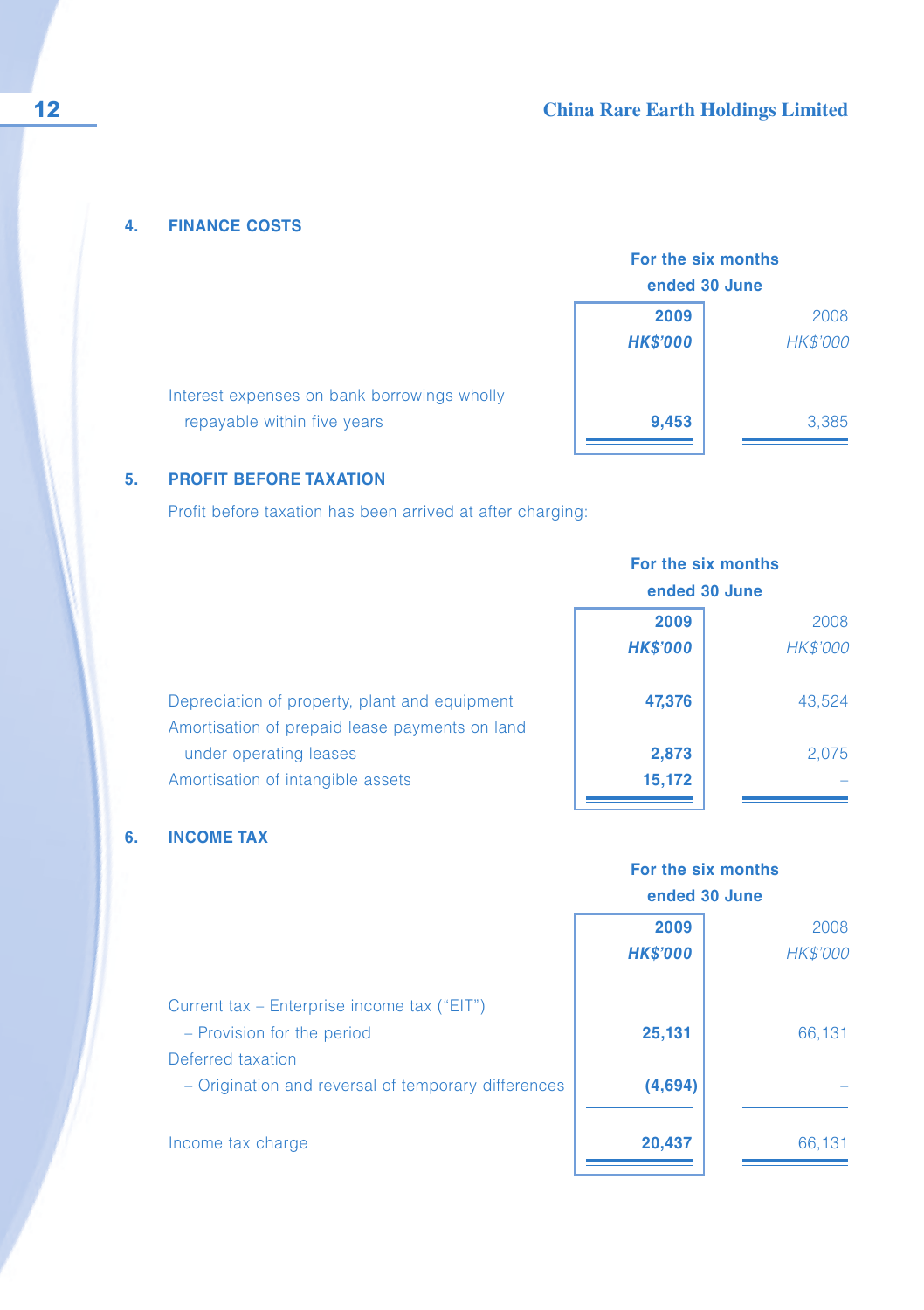## **4. FINANCE COSTS**

| For the six months<br>ended 30 June |                 |  |  |
|-------------------------------------|-----------------|--|--|
|                                     |                 |  |  |
| 2009                                | 2008            |  |  |
| <b>HK\$'000</b>                     | <b>HK\$'000</b> |  |  |
|                                     |                 |  |  |
|                                     |                 |  |  |
| 9,453                               | 3,385           |  |  |
|                                     |                 |  |  |

## **5. PROFIT BEFORE TAXATION**

repayable within five years

Profit before taxation has been arrived at after charging:

Interest expenses on bank borrowings wholly

| For the six months<br>ended 30 June |                  |
|-------------------------------------|------------------|
| 2009<br><b>HK\$'000</b>             | 2008<br>HK\$'000 |
| 47,376                              | 43,524           |
| 2,873<br>15,172                     | 2,075            |
|                                     |                  |

## **6. INCOME TAX**

|                                                                                                | For the six months<br>ended 30 June |                  |
|------------------------------------------------------------------------------------------------|-------------------------------------|------------------|
|                                                                                                | 2009<br><b>HK\$'000</b>             | 2008<br>HK\$'000 |
| Current tax - Enterprise income tax ("EIT")<br>- Provision for the period<br>Deferred taxation | 25,131                              | 66.131           |
| - Origination and reversal of temporary differences                                            | (4,694)                             |                  |
| Income tax charge                                                                              | 20,437                              | 66,131           |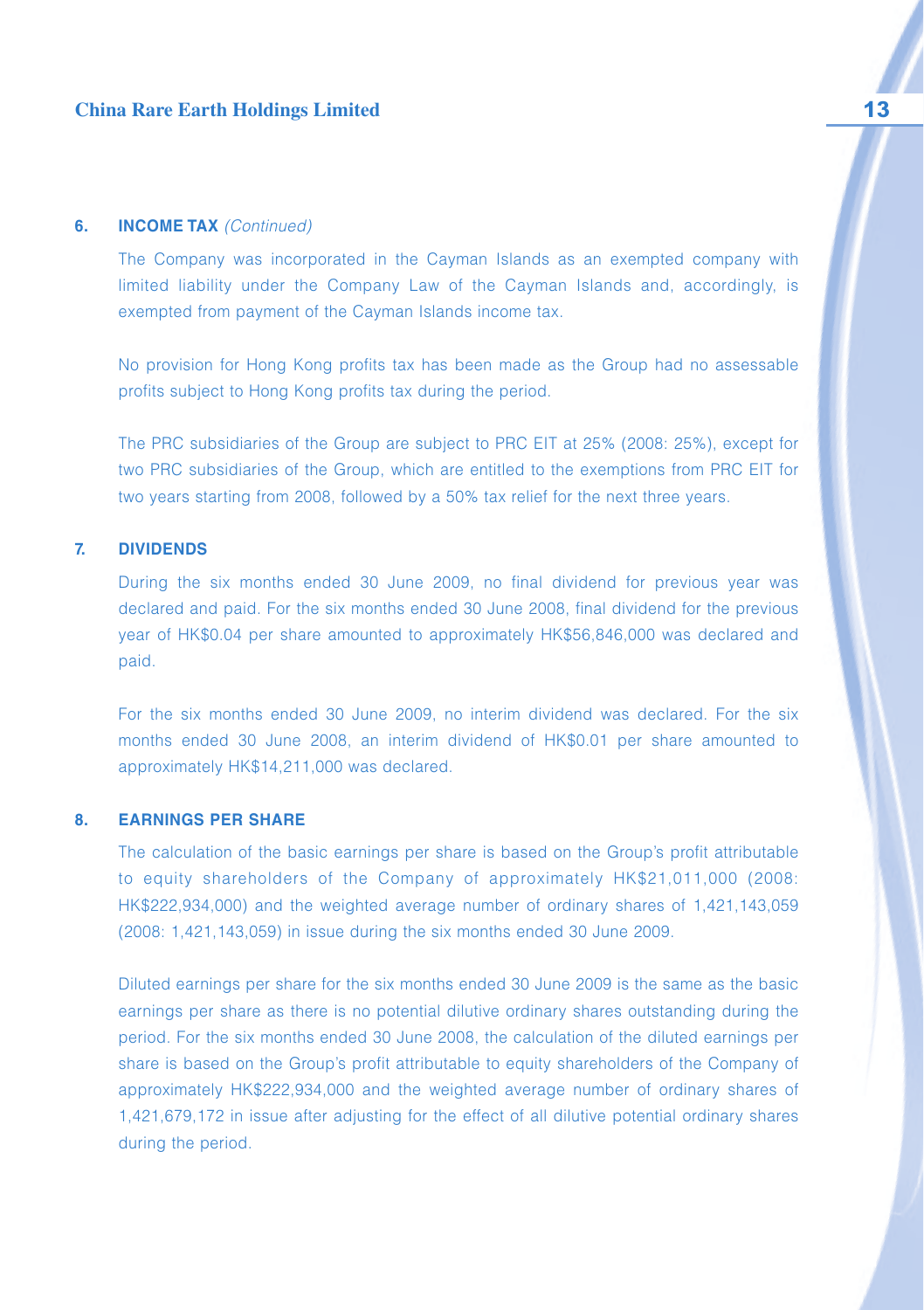#### **6. INCOME TAX** (Continued)

The Company was incorporated in the Cayman Islands as an exempted company with limited liability under the Company Law of the Cayman Islands and, accordingly, is exempted from payment of the Cayman Islands income tax.

No provision for Hong Kong profits tax has been made as the Group had no assessable profits subject to Hong Kong profits tax during the period.

The PRC subsidiaries of the Group are subject to PRC EIT at 25% (2008: 25%), except for two PRC subsidiaries of the Group, which are entitled to the exemptions from PRC EIT for two years starting from 2008, followed by a 50% tax relief for the next three years.

#### **7. DIVIDENDS**

During the six months ended 30 June 2009, no final dividend for previous year was declared and paid. For the six months ended 30 June 2008, final dividend for the previous year of HK\$0.04 per share amounted to approximately HK\$56,846,000 was declared and paid.

For the six months ended 30 June 2009, no interim dividend was declared. For the six months ended 30 June 2008, an interim dividend of HK\$0.01 per share amounted to approximately HK\$14,211,000 was declared.

#### **8. EARNINGS PER SHARE**

The calculation of the basic earnings per share is based on the Group's profit attributable to equity shareholders of the Company of approximately HK\$21,011,000 (2008: HK\$222,934,000) and the weighted average number of ordinary shares of 1,421,143,059 (2008: 1,421,143,059) in issue during the six months ended 30 June 2009.

Diluted earnings per share for the six months ended 30 June 2009 is the same as the basic earnings per share as there is no potential dilutive ordinary shares outstanding during the period. For the six months ended 30 June 2008, the calculation of the diluted earnings per share is based on the Group's profit attributable to equity shareholders of the Company of approximately HK\$222,934,000 and the weighted average number of ordinary shares of 1,421,679,172 in issue after adjusting for the effect of all dilutive potential ordinary shares during the period.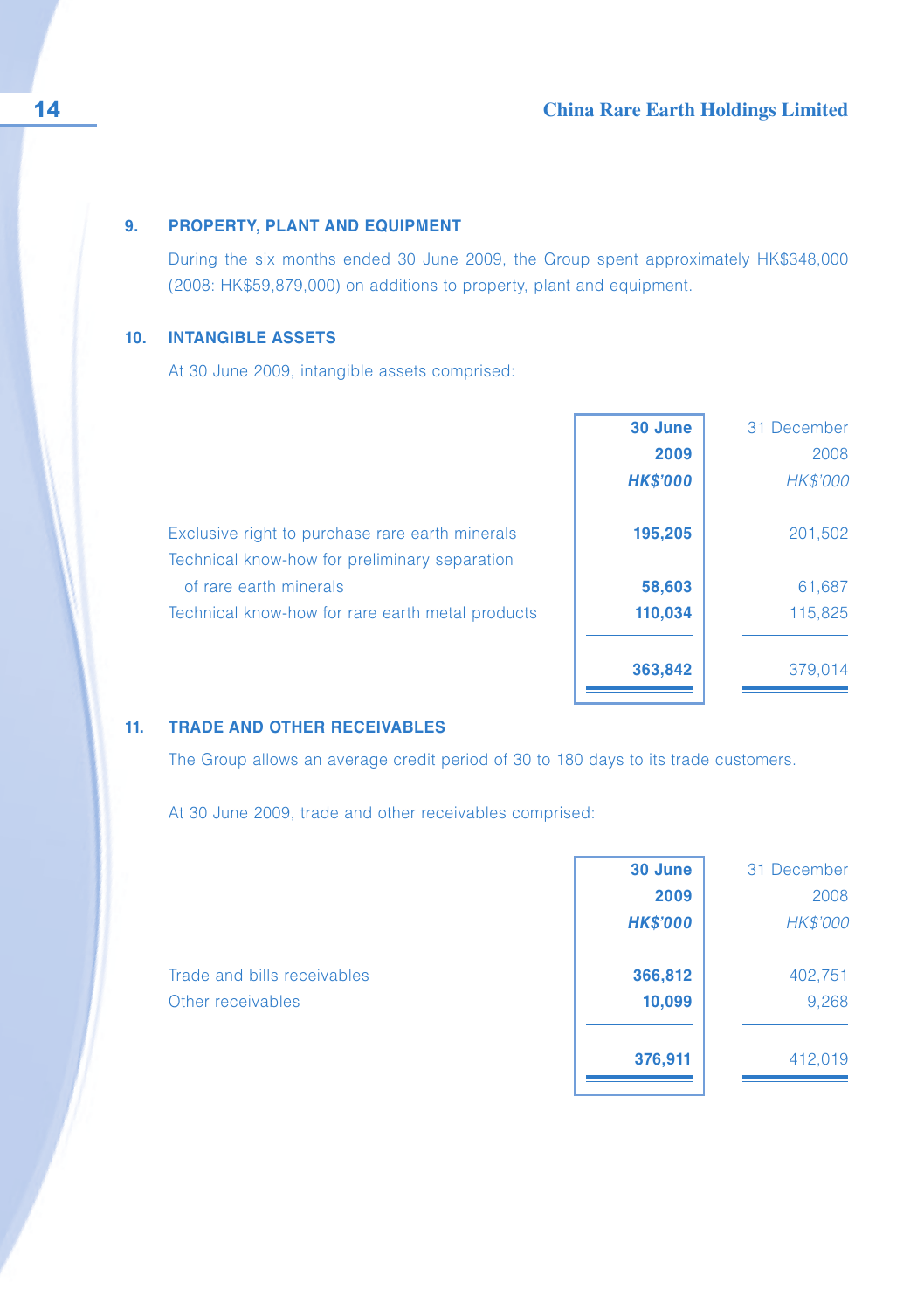#### **9. PROPERTY, PLANT AND EQUIPMENT**

During the six months ended 30 June 2009, the Group spent approximately HK\$348,000 (2008: HK\$59,879,000) on additions to property, plant and equipment.

#### **10. INTANGIBLE ASSETS**

At 30 June 2009, intangible assets comprised:

|                                                                                                  | 30 June<br>2009 | 31 December<br>2008 |
|--------------------------------------------------------------------------------------------------|-----------------|---------------------|
|                                                                                                  | <b>HK\$'000</b> | <b>HK\$'000</b>     |
| Exclusive right to purchase rare earth minerals<br>Technical know-how for preliminary separation | 195,205         | 201,502             |
| of rare earth minerals                                                                           | 58,603          | 61,687              |
| Technical know-how for rare earth metal products                                                 | 110,034         | 115,825             |
|                                                                                                  | 363,842         | 379,014             |

### **11. TRADE AND OTHER RECEIVABLES**

The Group allows an average credit period of 30 to 180 days to its trade customers.

At 30 June 2009, trade and other receivables comprised:

|                             | 30 June         | 31 December |
|-----------------------------|-----------------|-------------|
|                             | 2009            | 2008        |
|                             | <b>HK\$'000</b> | HK\$'000    |
| Trade and bills receivables | 366,812         | 402,751     |
| Other receivables           | 10,099          | 9,268       |
|                             | 376,911         | 412,019     |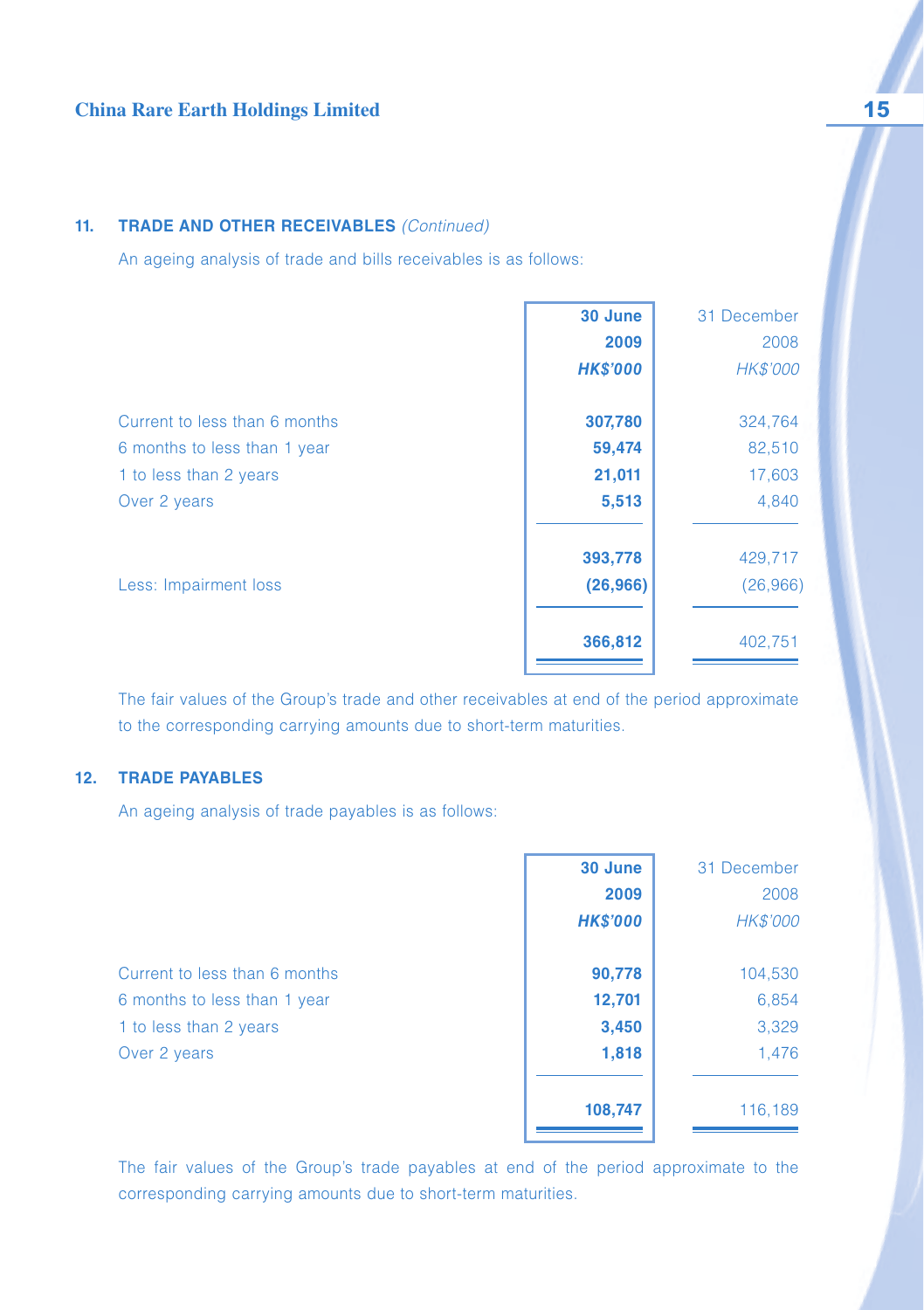#### **11. TRADE AND OTHER RECEIVABLES** (Continued)

An ageing analysis of trade and bills receivables is as follows:

| 30 June         | 31 December |
|-----------------|-------------|
| 2009            | 2008        |
| <b>HK\$'000</b> | HK\$'000    |
| 307,780         | 324,764     |
| 59,474          | 82,510      |
| 21,011          | 17,603      |
| 5,513           | 4,840       |
| 393,778         | 429,717     |
| (26,966)        | (26,966)    |
| 366,812         | 402,751     |
|                 |             |

The fair values of the Group's trade and other receivables at end of the period approximate to the corresponding carrying amounts due to short-term maturities.

## **12. TRADE PAYABLES**

An ageing analysis of trade payables is as follows:

|                               | 30 June         | 31 December |
|-------------------------------|-----------------|-------------|
|                               | 2009            | 2008        |
|                               | <b>HK\$'000</b> | HK\$'000    |
| Current to less than 6 months | 90,778          | 104,530     |
| 6 months to less than 1 year  | 12,701          | 6,854       |
| 1 to less than 2 years        | 3,450           | 3,329       |
| Over 2 years                  | 1,818           | 1,476       |
|                               | 108,747         | 116,189     |
|                               |                 |             |

The fair values of the Group's trade payables at end of the period approximate to the corresponding carrying amounts due to short-term maturities.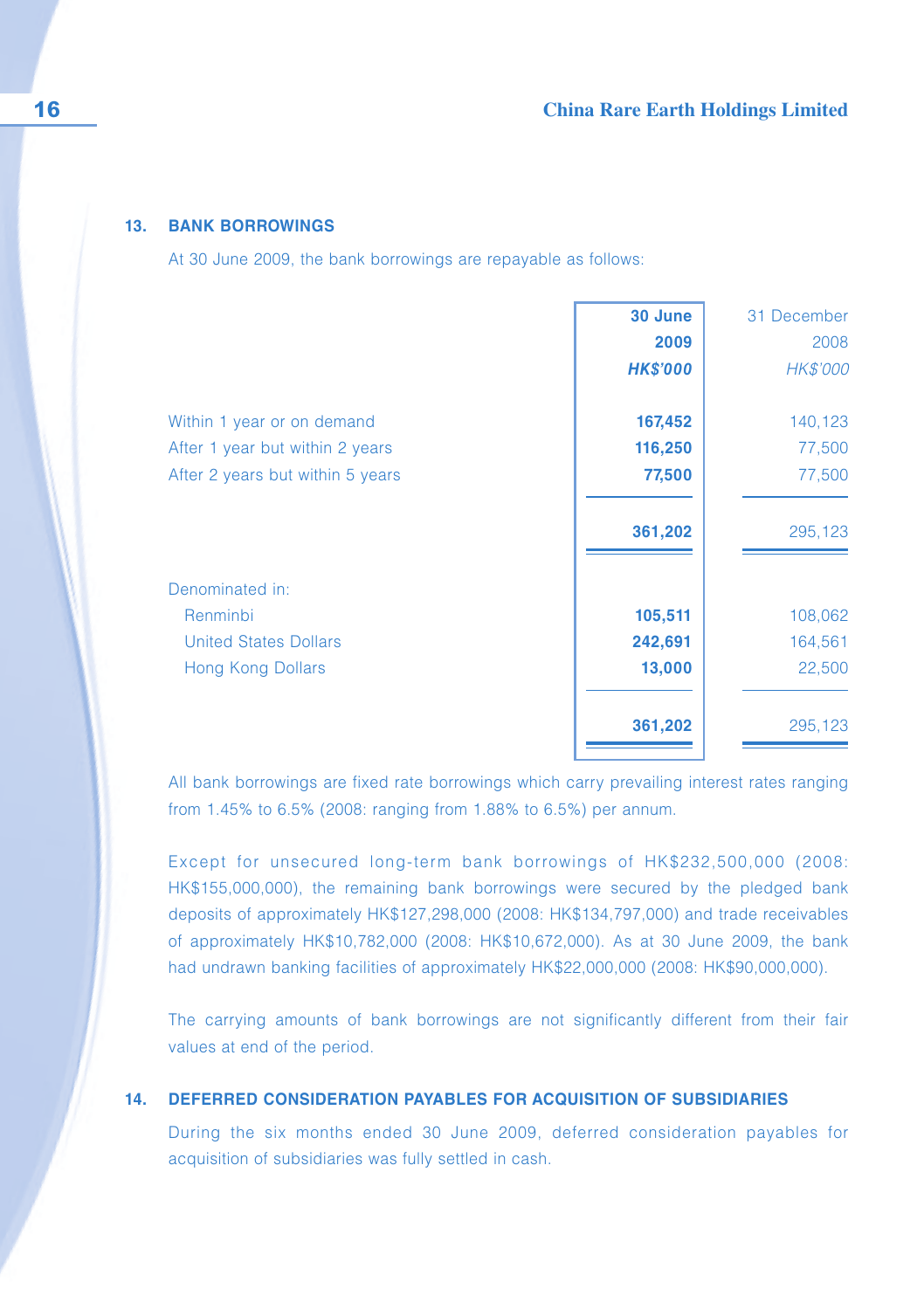#### **13. BANK BORROWINGS**

At 30 June 2009, the bank borrowings are repayable as follows:

|                                  | 30 June         | 31 December     |
|----------------------------------|-----------------|-----------------|
|                                  | 2009            | 2008            |
|                                  | <b>HK\$'000</b> | <b>HK\$'000</b> |
| Within 1 year or on demand       | 167,452         | 140,123         |
| After 1 year but within 2 years  | 116,250         | 77,500          |
| After 2 years but within 5 years | 77,500          | 77,500          |
|                                  | 361,202         | 295,123         |
| Denominated in:                  |                 |                 |
| Renminbi                         | 105,511         | 108,062         |
| <b>United States Dollars</b>     | 242,691         | 164,561         |
| <b>Hong Kong Dollars</b>         | 13,000          | 22,500          |
|                                  | 361,202         | 295,123         |
|                                  |                 |                 |

All bank borrowings are fixed rate borrowings which carry prevailing interest rates ranging from 1.45% to 6.5% (2008: ranging from 1.88% to 6.5%) per annum.

Except for unsecured long-term bank borrowings of HK\$232,500,000 (2008: HK\$155,000,000), the remaining bank borrowings were secured by the pledged bank deposits of approximately HK\$127,298,000 (2008: HK\$134,797,000) and trade receivables of approximately HK\$10,782,000 (2008: HK\$10,672,000). As at 30 June 2009, the bank had undrawn banking facilities of approximately HK\$22,000,000 (2008: HK\$90,000,000).

The carrying amounts of bank borrowings are not significantly different from their fair values at end of the period.

#### **14. DEFERRED CONSIDERATION PAYABLES FOR ACQUISITION OF SUBSIDIARIES**

During the six months ended 30 June 2009, deferred consideration payables for acquisition of subsidiaries was fully settled in cash.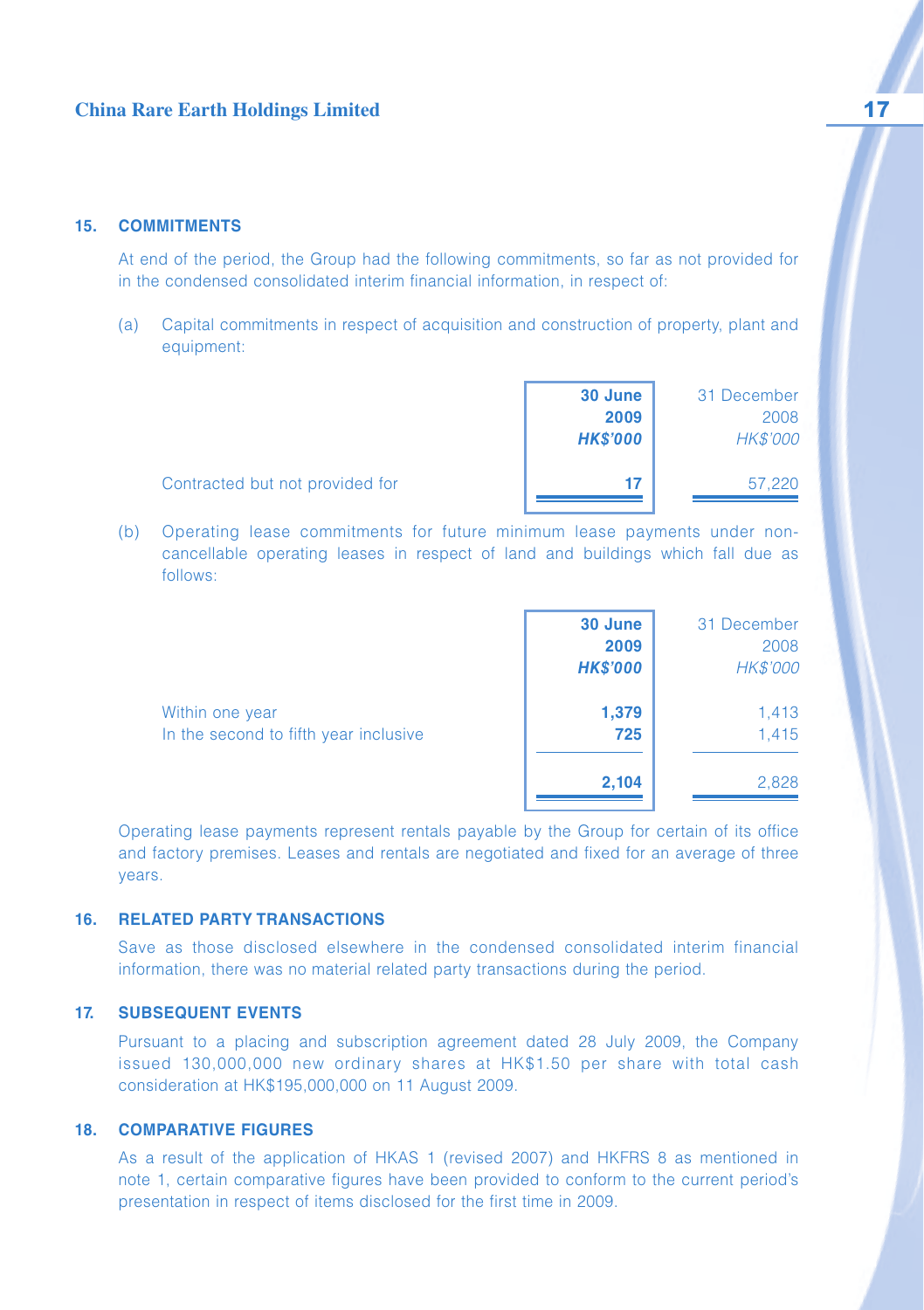#### **15. COMMITMENTS**

At end of the period, the Group had the following commitments, so far as not provided for in the condensed consolidated interim financial information, in respect of:

(a) Capital commitments in respect of acquisition and construction of property, plant and equipment:

|                                 | 30 June<br>2009 | 31 December<br>2008 |
|---------------------------------|-----------------|---------------------|
|                                 | <b>HK\$'000</b> | HK\$'000            |
| Contracted but not provided for | 17              | 57,220              |

(b) Operating lease commitments for future minimum lease payments under noncancellable operating leases in respect of land and buildings which fall due as follows:

|                                                          | 30 June<br>2009<br><b>HK\$'000</b> | 31 December<br>2008<br>HK\$'000 |
|----------------------------------------------------------|------------------------------------|---------------------------------|
| Within one year<br>In the second to fifth year inclusive | 1,379<br>725                       | 1,413<br>1.415                  |
|                                                          | 2,104                              | 2,828                           |

Operating lease payments represent rentals payable by the Group for certain of its office and factory premises. Leases and rentals are negotiated and fixed for an average of three years.

#### **16. RELATED PARTY TRANSACTIONS**

Save as those disclosed elsewhere in the condensed consolidated interim financial information, there was no material related party transactions during the period.

#### **17. SUBSEQUENT EVENTS**

Pursuant to a placing and subscription agreement dated 28 July 2009, the Company issued 130,000,000 new ordinary shares at HK\$1.50 per share with total cash consideration at HK\$195,000,000 on 11 August 2009.

#### **18. COMPARATIVE FIGURES**

As a result of the application of HKAS 1 (revised 2007) and HKFRS 8 as mentioned in note 1, certain comparative figures have been provided to conform to the current period's presentation in respect of items disclosed for the first time in 2009.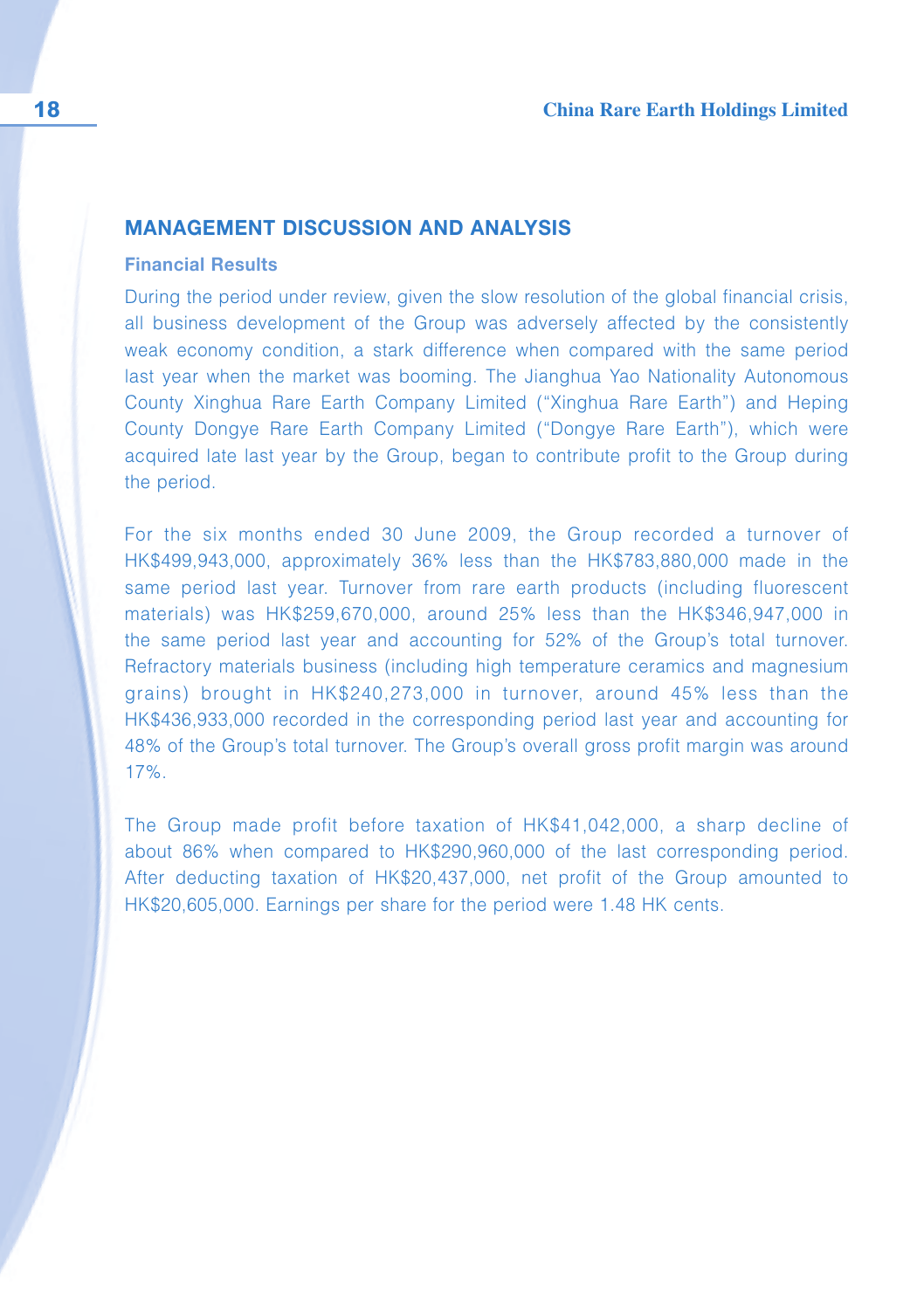## **MANAGEMENT DISCUSSION AND ANALYSIS**

### **Financial Results**

During the period under review, given the slow resolution of the global financial crisis, all business development of the Group was adversely affected by the consistently weak economy condition, a stark difference when compared with the same period last year when the market was booming. The Jianghua Yao Nationality Autonomous County Xinghua Rare Earth Company Limited ("Xinghua Rare Earth") and Heping County Dongye Rare Earth Company Limited ("Dongye Rare Earth"), which were acquired late last year by the Group, began to contribute profit to the Group during the period.

For the six months ended 30 June 2009, the Group recorded a turnover of HK\$499,943,000, approximately 36% less than the HK\$783,880,000 made in the same period last year. Turnover from rare earth products (including fluorescent materials) was HK\$259,670,000, around 25% less than the HK\$346,947,000 in the same period last year and accounting for 52% of the Group's total turnover. Refractory materials business (including high temperature ceramics and magnesium grains) brought in HK\$240,273,000 in turnover, around 45% less than the HK\$436,933,000 recorded in the corresponding period last year and accounting for 48% of the Group's total turnover. The Group's overall gross profit margin was around 17%.

The Group made profit before taxation of HK\$41,042,000, a sharp decline of about 86% when compared to HK\$290,960,000 of the last corresponding period. After deducting taxation of HK\$20,437,000, net profit of the Group amounted to HK\$20,605,000. Earnings per share for the period were 1.48 HK cents.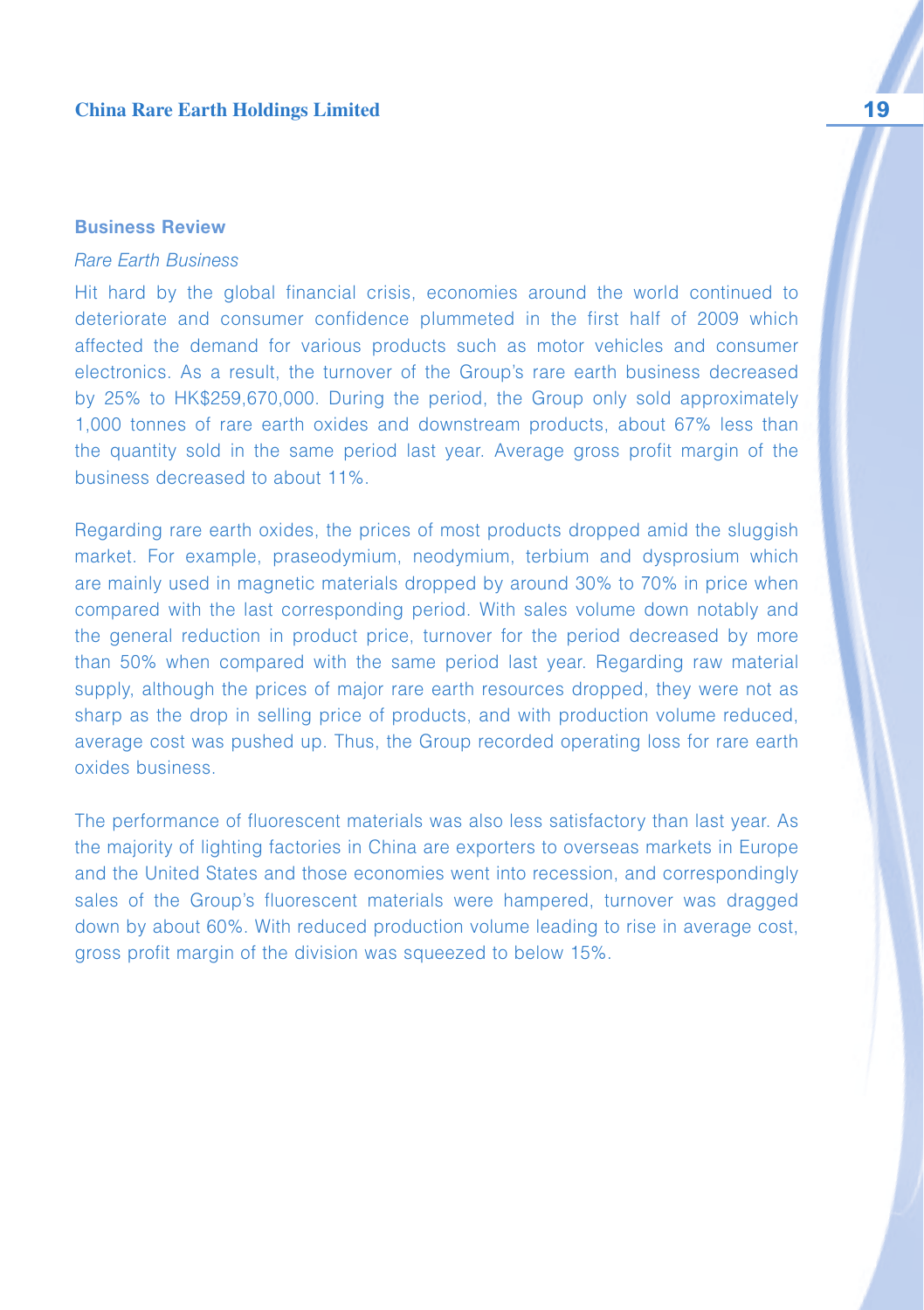### **Business Review**

#### Rare Earth Business

Hit hard by the global financial crisis, economies around the world continued to deteriorate and consumer confidence plummeted in the first half of 2009 which affected the demand for various products such as motor vehicles and consumer electronics. As a result, the turnover of the Group's rare earth business decreased by 25% to HK\$259,670,000. During the period, the Group only sold approximately 1,000 tonnes of rare earth oxides and downstream products, about 67% less than the quantity sold in the same period last year. Average gross profit margin of the business decreased to about 11%.

Regarding rare earth oxides, the prices of most products dropped amid the sluggish market. For example, praseodymium, neodymium, terbium and dysprosium which are mainly used in magnetic materials dropped by around 30% to 70% in price when compared with the last corresponding period. With sales volume down notably and the general reduction in product price, turnover for the period decreased by more than 50% when compared with the same period last year. Regarding raw material supply, although the prices of major rare earth resources dropped, they were not as sharp as the drop in selling price of products, and with production volume reduced, average cost was pushed up. Thus, the Group recorded operating loss for rare earth oxides business.

The performance of fluorescent materials was also less satisfactory than last year. As the majority of lighting factories in China are exporters to overseas markets in Europe and the United States and those economies went into recession, and correspondingly sales of the Group's fluorescent materials were hampered, turnover was dragged down by about 60%. With reduced production volume leading to rise in average cost, gross profit margin of the division was squeezed to below 15%.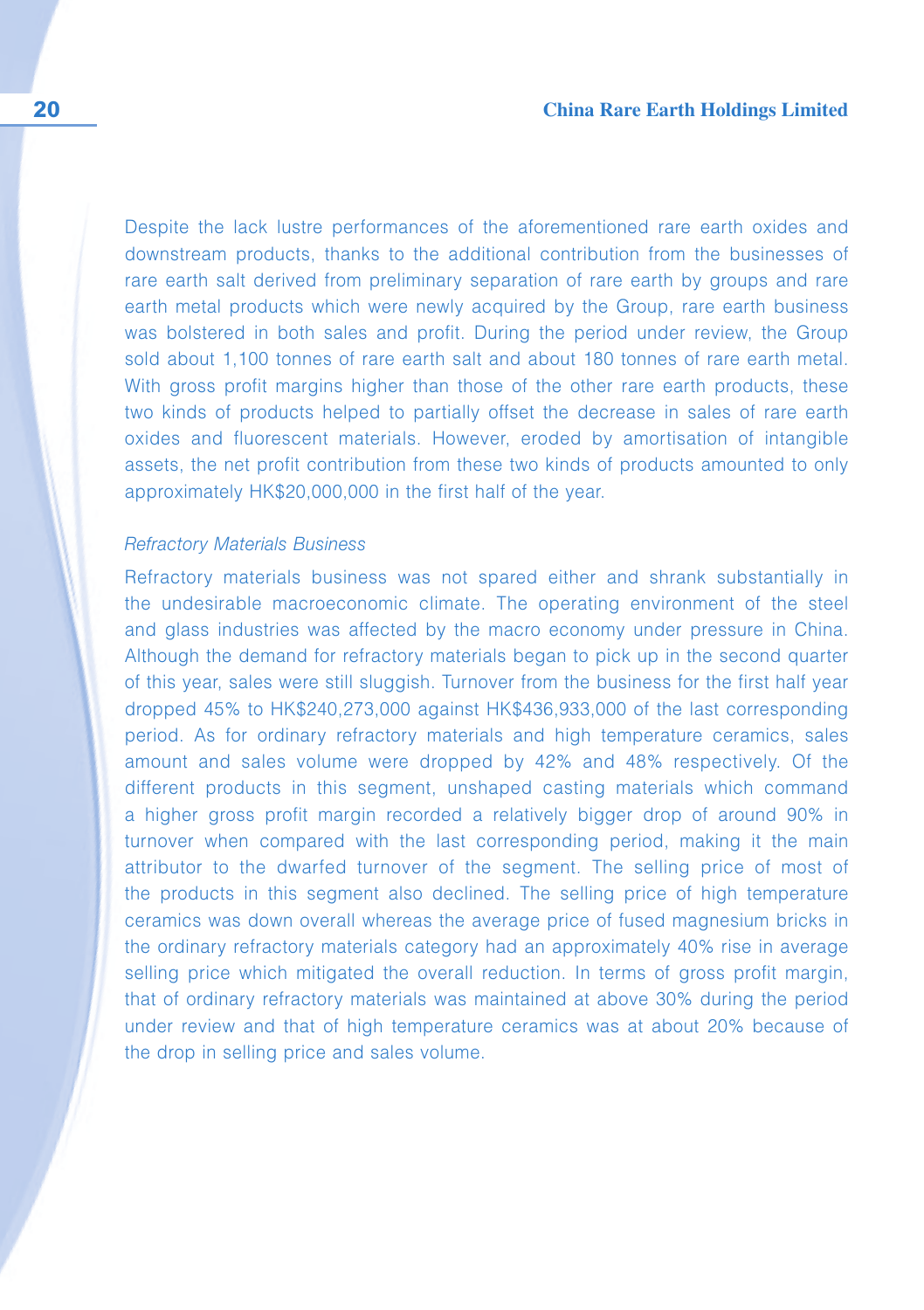Despite the lack lustre performances of the aforementioned rare earth oxides and downstream products, thanks to the additional contribution from the businesses of rare earth salt derived from preliminary separation of rare earth by groups and rare earth metal products which were newly acquired by the Group, rare earth business was bolstered in both sales and profit. During the period under review, the Group sold about 1,100 tonnes of rare earth salt and about 180 tonnes of rare earth metal. With gross profit margins higher than those of the other rare earth products, these two kinds of products helped to partially offset the decrease in sales of rare earth oxides and fluorescent materials. However, eroded by amortisation of intangible assets, the net profit contribution from these two kinds of products amounted to only approximately HK\$20,000,000 in the first half of the year.

#### Refractory Materials Business

Refractory materials business was not spared either and shrank substantially in the undesirable macroeconomic climate. The operating environment of the steel and glass industries was affected by the macro economy under pressure in China. Although the demand for refractory materials began to pick up in the second quarter of this year, sales were still sluggish. Turnover from the business for the first half year dropped 45% to HK\$240,273,000 against HK\$436,933,000 of the last corresponding period. As for ordinary refractory materials and high temperature ceramics, sales amount and sales volume were dropped by 42% and 48% respectively. Of the different products in this segment, unshaped casting materials which command a higher gross profit margin recorded a relatively bigger drop of around 90% in turnover when compared with the last corresponding period, making it the main attributor to the dwarfed turnover of the segment. The selling price of most of the products in this segment also declined. The selling price of high temperature ceramics was down overall whereas the average price of fused magnesium bricks in the ordinary refractory materials category had an approximately 40% rise in average selling price which mitigated the overall reduction. In terms of gross profit margin, that of ordinary refractory materials was maintained at above 30% during the period under review and that of high temperature ceramics was at about 20% because of the drop in selling price and sales volume.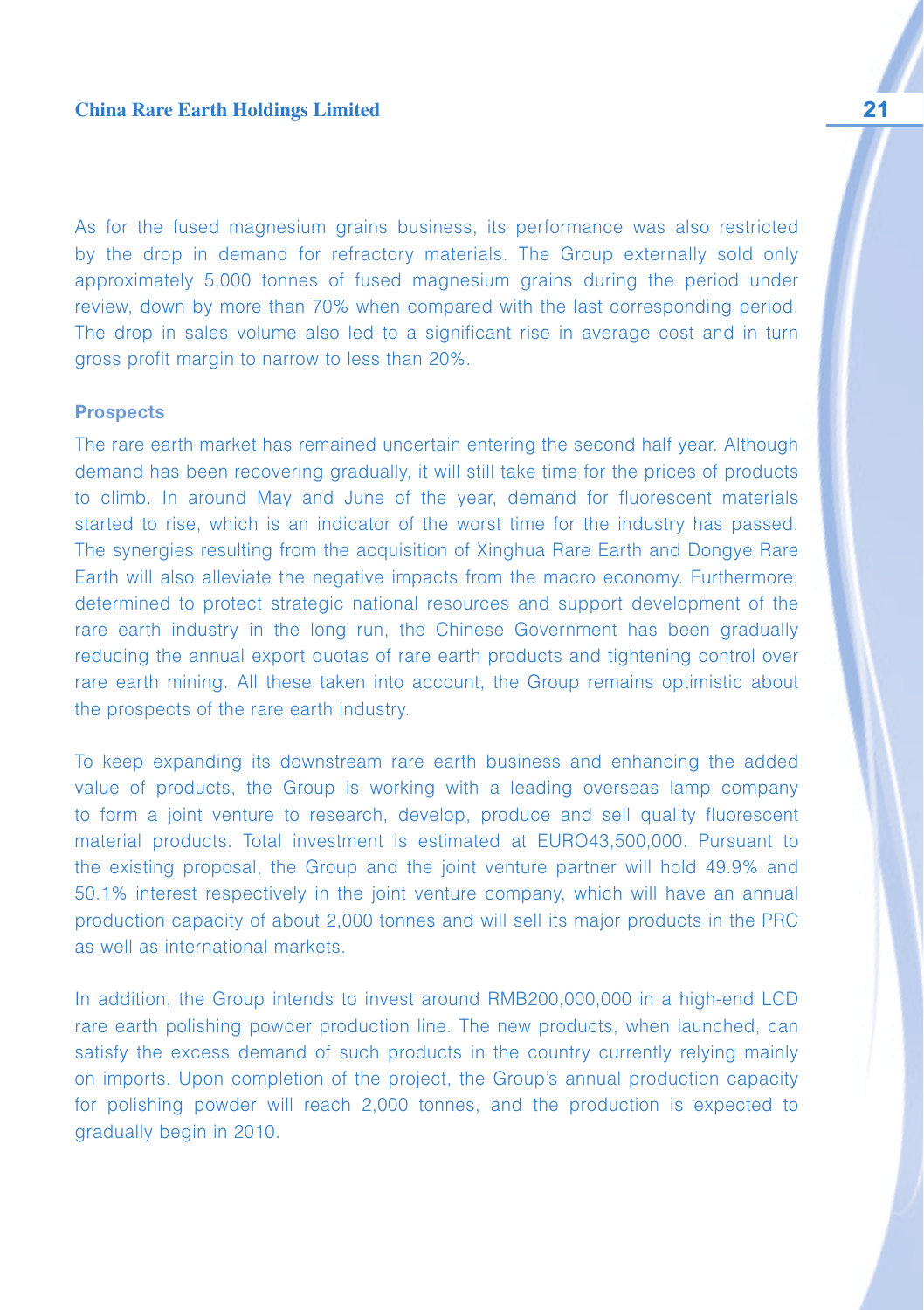As for the fused magnesium grains business, its performance was also restricted by the drop in demand for refractory materials. The Group externally sold only approximately 5,000 tonnes of fused magnesium grains during the period under review, down by more than 70% when compared with the last corresponding period. The drop in sales volume also led to a significant rise in average cost and in turn gross profit margin to narrow to less than 20%.

#### **Prospects**

The rare earth market has remained uncertain entering the second half year. Although demand has been recovering gradually, it will still take time for the prices of products to climb. In around May and June of the year, demand for fluorescent materials started to rise, which is an indicator of the worst time for the industry has passed. The synergies resulting from the acquisition of Xinghua Rare Earth and Dongye Rare Earth will also alleviate the negative impacts from the macro economy. Furthermore, determined to protect strategic national resources and support development of the rare earth industry in the long run, the Chinese Government has been gradually reducing the annual export quotas of rare earth products and tightening control over rare earth mining. All these taken into account, the Group remains optimistic about the prospects of the rare earth industry.

To keep expanding its downstream rare earth business and enhancing the added value of products, the Group is working with a leading overseas lamp company to form a joint venture to research, develop, produce and sell quality fluorescent material products. Total investment is estimated at EURO43,500,000. Pursuant to the existing proposal, the Group and the joint venture partner will hold 49.9% and 50.1% interest respectively in the joint venture company, which will have an annual production capacity of about 2,000 tonnes and will sell its major products in the PRC as well as international markets.

In addition, the Group intends to invest around RMB200,000,000 in a high-end LCD rare earth polishing powder production line. The new products, when launched, can satisfy the excess demand of such products in the country currently relying mainly on imports. Upon completion of the project, the Group's annual production capacity for polishing powder will reach 2,000 tonnes, and the production is expected to gradually begin in 2010.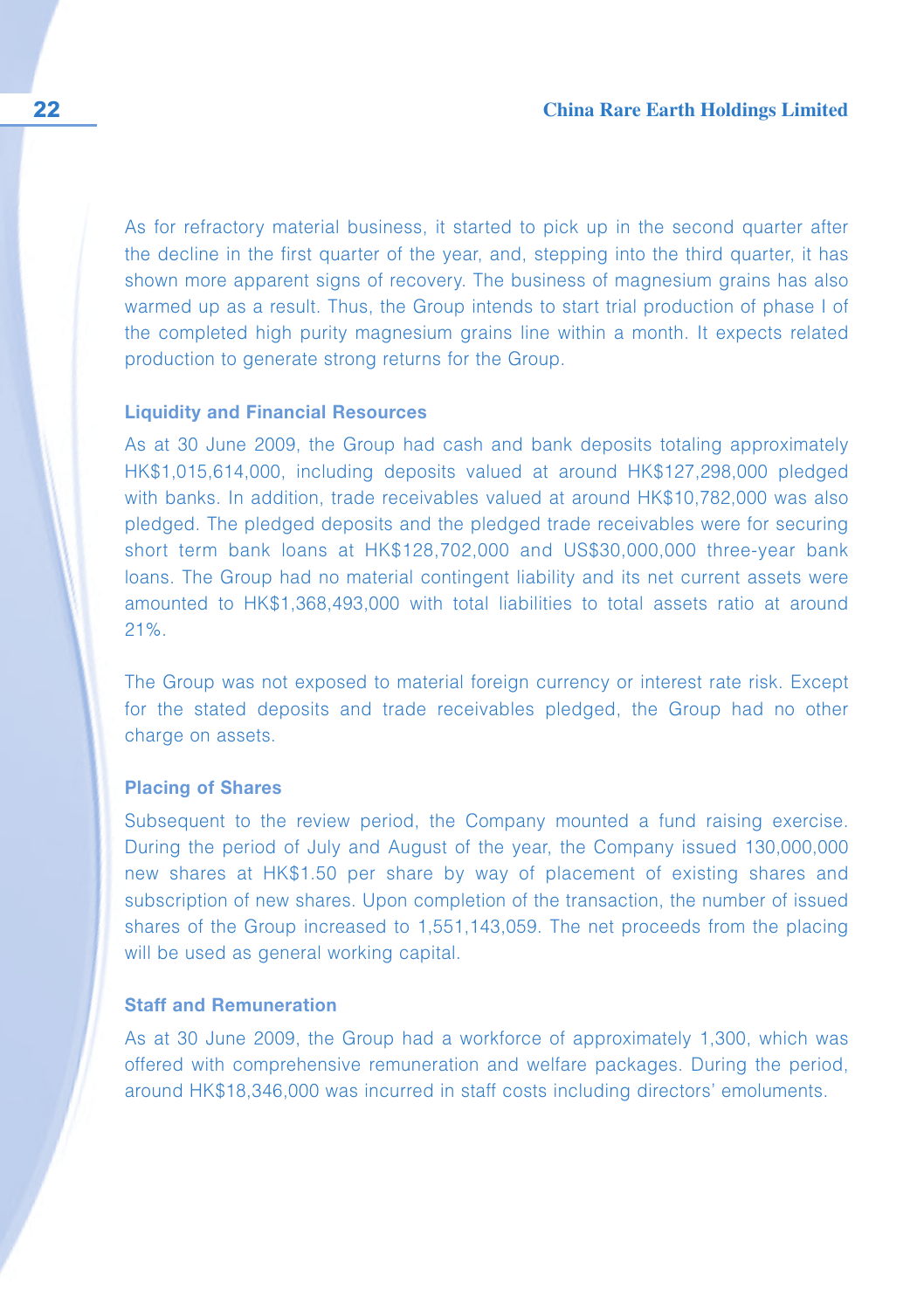As for refractory material business, it started to pick up in the second quarter after the decline in the first quarter of the year, and, stepping into the third quarter, it has shown more apparent signs of recovery. The business of magnesium grains has also warmed up as a result. Thus, the Group intends to start trial production of phase I of the completed high purity magnesium grains line within a month. It expects related production to generate strong returns for the Group.

#### **Liquidity and Financial Resources**

As at 30 June 2009, the Group had cash and bank deposits totaling approximately HK\$1,015,614,000, including deposits valued at around HK\$127,298,000 pledged with banks. In addition, trade receivables valued at around HK\$10,782,000 was also pledged. The pledged deposits and the pledged trade receivables were for securing short term bank loans at HK\$128,702,000 and US\$30,000,000 three-year bank loans. The Group had no material contingent liability and its net current assets were amounted to HK\$1,368,493,000 with total liabilities to total assets ratio at around 21%.

The Group was not exposed to material foreign currency or interest rate risk. Except for the stated deposits and trade receivables pledged, the Group had no other charge on assets.

#### **Placing of Shares**

Subsequent to the review period, the Company mounted a fund raising exercise. During the period of July and August of the year, the Company issued 130,000,000 new shares at HK\$1.50 per share by way of placement of existing shares and subscription of new shares. Upon completion of the transaction, the number of issued shares of the Group increased to 1,551,143,059. The net proceeds from the placing will be used as general working capital.

#### **Staff and Remuneration**

As at 30 June 2009, the Group had a workforce of approximately 1,300, which was offered with comprehensive remuneration and welfare packages. During the period, around HK\$18,346,000 was incurred in staff costs including directors' emoluments.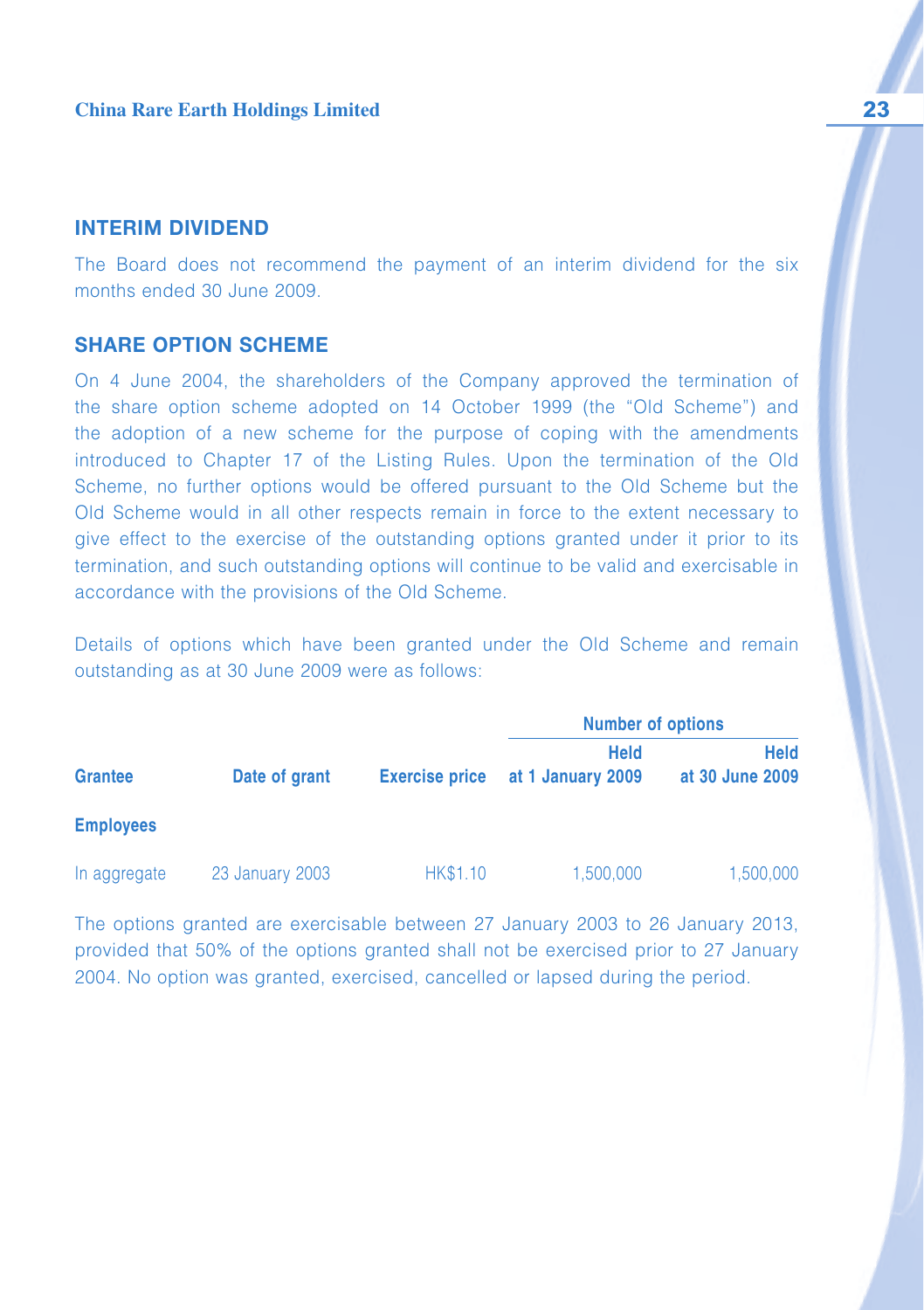## **INTERIM DIVIDEND**

The Board does not recommend the payment of an interim dividend for the six months ended 30 June 2009.

### **SHARE OPTION SCHEME**

On 4 June 2004, the shareholders of the Company approved the termination of the share option scheme adopted on 14 October 1999 (the "Old Scheme") and the adoption of a new scheme for the purpose of coping with the amendments introduced to Chapter 17 of the Listing Rules. Upon the termination of the Old Scheme, no further options would be offered pursuant to the Old Scheme but the Old Scheme would in all other respects remain in force to the extent necessary to give effect to the exercise of the outstanding options granted under it prior to its termination, and such outstanding options will continue to be valid and exercisable in accordance with the provisions of the Old Scheme.

Details of options which have been granted under the Old Scheme and remain outstanding as at 30 June 2009 were as follows:

|                  |                 |                       | <b>Number of options</b>         |                                |
|------------------|-----------------|-----------------------|----------------------------------|--------------------------------|
| <b>Grantee</b>   | Date of grant   | <b>Exercise price</b> | <b>Held</b><br>at 1 January 2009 | <b>Held</b><br>at 30 June 2009 |
| <b>Employees</b> |                 |                       |                                  |                                |
| In aggregate     | 23 January 2003 | <b>HK\$1.10</b>       | 1,500,000                        | 1,500,000                      |

The options granted are exercisable between 27 January 2003 to 26 January 2013, provided that 50% of the options granted shall not be exercised prior to 27 January 2004. No option was granted, exercised, cancelled or lapsed during the period.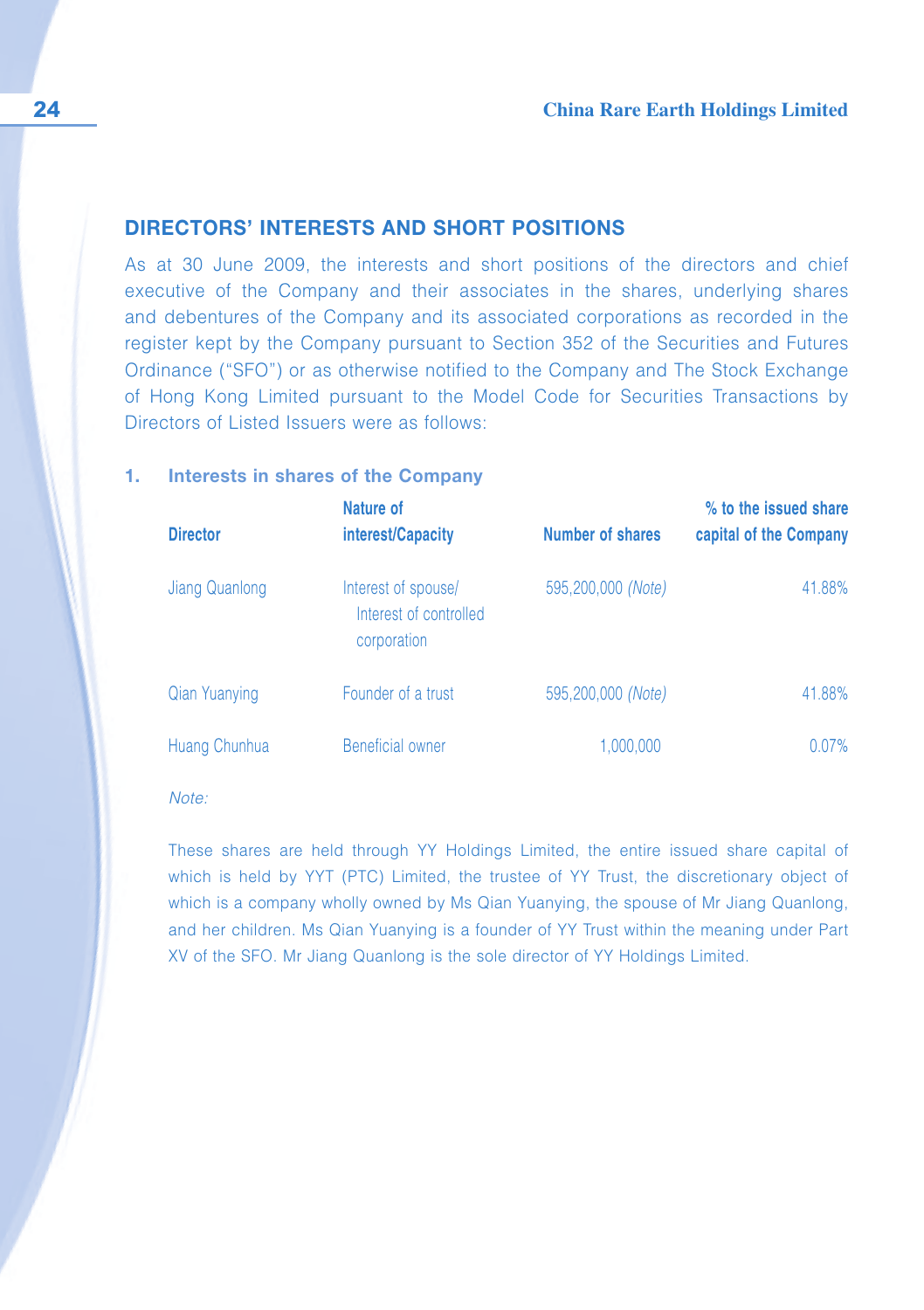## **DIRECTORS' INTERESTS AND SHORT POSITIONS**

As at 30 June 2009, the interests and short positions of the directors and chief executive of the Company and their associates in the shares, underlying shares and debentures of the Company and its associated corporations as recorded in the register kept by the Company pursuant to Section 352 of the Securities and Futures Ordinance ("SFO") or as otherwise notified to the Company and The Stock Exchange of Hong Kong Limited pursuant to the Model Code for Securities Transactions by Directors of Listed Issuers were as follows:

#### **1. Interests in shares of the Company**

| <b>Director</b>      | Nature of<br>interest/Capacity                               | Number of shares   | % to the issued share<br>capital of the Company |
|----------------------|--------------------------------------------------------------|--------------------|-------------------------------------------------|
| Jiang Quanlong       | Interest of spouse/<br>Interest of controlled<br>corporation | 595,200,000 (Note) | 41.88%                                          |
| <b>Qian Yuanying</b> | Founder of a trust                                           | 595,200,000 (Note) | 41.88%                                          |
| Huang Chunhua        | Beneficial owner                                             | 1.000.000          | $0.07\%$                                        |

Note:

These shares are held through YY Holdings Limited, the entire issued share capital of which is held by YYT (PTC) Limited, the trustee of YY Trust, the discretionary object of which is a company wholly owned by Ms Qian Yuanying, the spouse of Mr Jiang Quanlong, and her children. Ms Qian Yuanying is a founder of YY Trust within the meaning under Part XV of the SFO. Mr Jiang Quanlong is the sole director of YY Holdings Limited.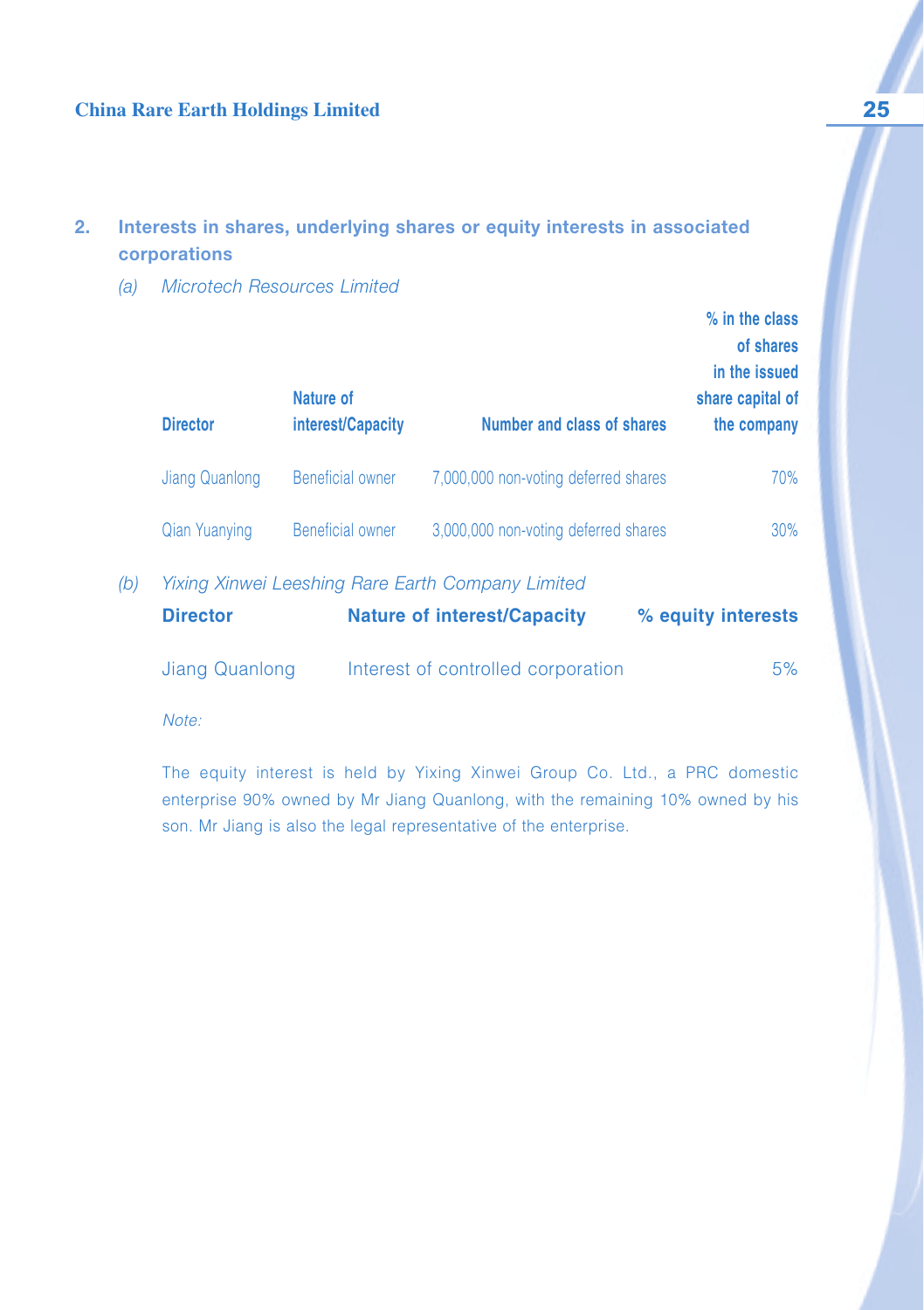## **China Rare Earth Holdings Limited 25**

## **2. Interests in shares, underlying shares or equity interests in associated corporations**

(a) Microtech Resources Limited

| <b>Director</b>      | Nature of<br>interest/Capacity | <b>Number and class of shares</b>    | $%$ in the class<br>of shares<br>in the issued<br>share capital of<br>the company |
|----------------------|--------------------------------|--------------------------------------|-----------------------------------------------------------------------------------|
| Jiang Quanlong       | <b>Beneficial owner</b>        | 7,000,000 non-voting deferred shares | 70%                                                                               |
| <b>Qian Yuanying</b> | <b>Beneficial owner</b>        | 3,000,000 non-voting deferred shares | $30\%$                                                                            |
|                      | $\cdots$                       | $\Box$ $\Box$                        |                                                                                   |

(b) Yixing Xinwei Leeshing Rare Earth Company Limited

| <b>Director</b> | <b>Nature of interest/Capacity</b> | % equity interests |    |
|-----------------|------------------------------------|--------------------|----|
| Jiang Quanlong  | Interest of controlled corporation |                    | 5% |

Note:

The equity interest is held by Yixing Xinwei Group Co. Ltd., a PRC domestic enterprise 90% owned by Mr Jiang Quanlong, with the remaining 10% owned by his son. Mr Jiang is also the legal representative of the enterprise.

 $\mathcal{L}=\mathcal{L}$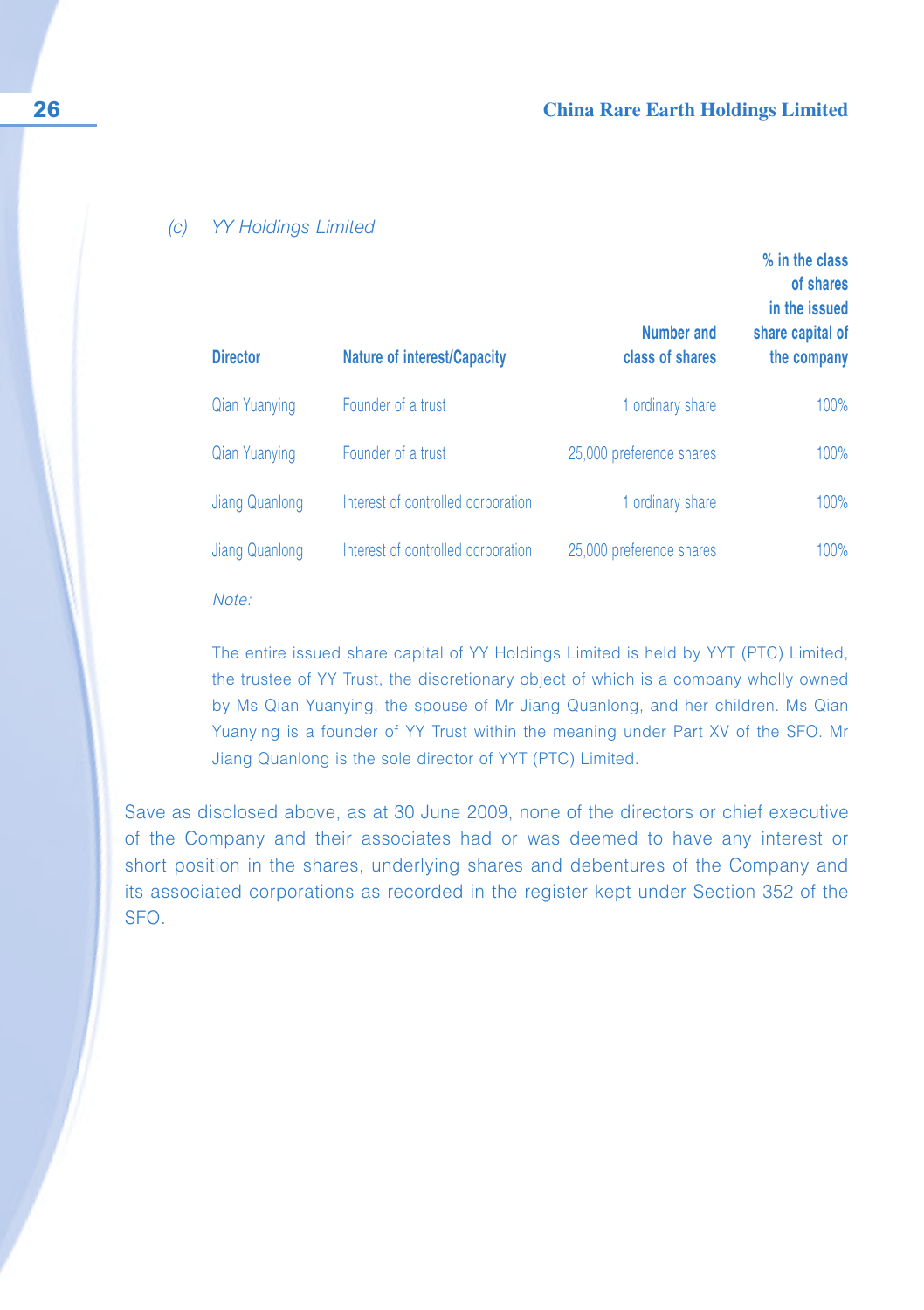#### (c) YY Holdings Limited

| <b>Director</b>       | <b>Nature of interest/Capacity</b> | Number and<br>class of shares | % in the class<br>of shares<br>in the issued<br>share capital of<br>the company |
|-----------------------|------------------------------------|-------------------------------|---------------------------------------------------------------------------------|
| <b>Qian Yuanying</b>  | Founder of a trust                 | 1 ordinary share              | 100%                                                                            |
| <b>Qian Yuanying</b>  | Founder of a trust                 | 25,000 preference shares      | 100%                                                                            |
| Jiang Quanlong        | Interest of controlled corporation | 1 ordinary share              | 100%                                                                            |
| <b>Jiang Quanlong</b> | Interest of controlled corporation | 25,000 preference shares      | 100%                                                                            |
|                       |                                    |                               |                                                                                 |

Note:

The entire issued share capital of YY Holdings Limited is held by YYT (PTC) Limited, the trustee of YY Trust, the discretionary object of which is a company wholly owned by Ms Qian Yuanying, the spouse of Mr Jiang Quanlong, and her children. Ms Qian Yuanying is a founder of YY Trust within the meaning under Part XV of the SFO. Mr Jiang Quanlong is the sole director of YYT (PTC) Limited.

Save as disclosed above, as at 30 June 2009, none of the directors or chief executive of the Company and their associates had or was deemed to have any interest or short position in the shares, underlying shares and debentures of the Company and its associated corporations as recorded in the register kept under Section 352 of the SFO.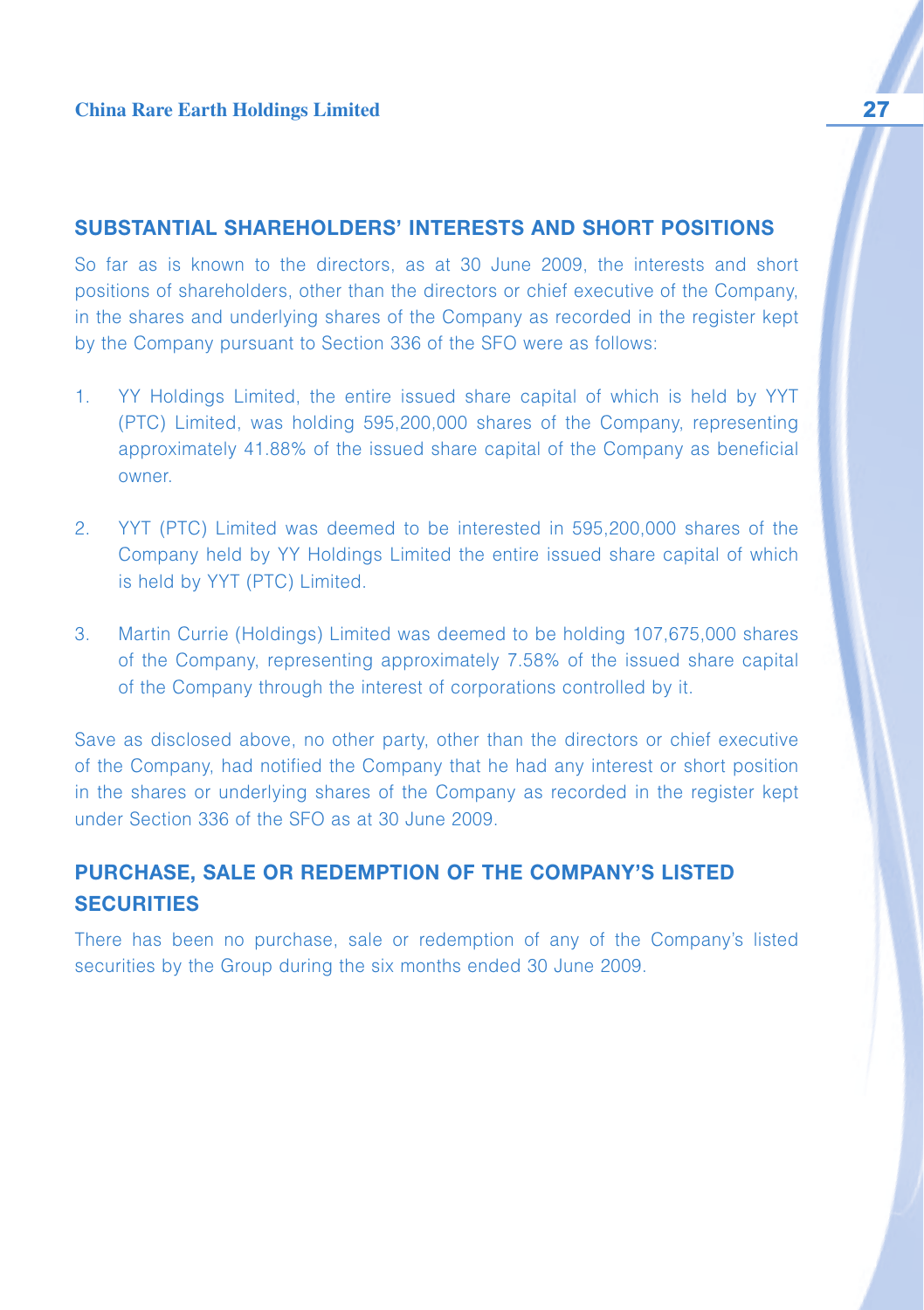## **SUBSTANTIAL SHAREHOLDERS' INTERESTS AND SHORT POSITIONS**

So far as is known to the directors, as at 30 June 2009, the interests and short positions of shareholders, other than the directors or chief executive of the Company, in the shares and underlying shares of the Company as recorded in the register kept by the Company pursuant to Section 336 of the SFO were as follows:

- 1. YY Holdings Limited, the entire issued share capital of which is held by YYT (PTC) Limited, was holding 595,200,000 shares of the Company, representing approximately 41.88% of the issued share capital of the Company as beneficial owner.
- 2. YYT (PTC) Limited was deemed to be interested in 595,200,000 shares of the Company held by YY Holdings Limited the entire issued share capital of which is held by YYT (PTC) Limited.
- 3. Martin Currie (Holdings) Limited was deemed to be holding 107,675,000 shares of the Company, representing approximately 7.58% of the issued share capital of the Company through the interest of corporations controlled by it.

Save as disclosed above, no other party, other than the directors or chief executive of the Company, had notified the Company that he had any interest or short position in the shares or underlying shares of the Company as recorded in the register kept under Section 336 of the SFO as at 30 June 2009.

## **PURCHASE, SALE OR REDEMPTION OF THE COMPANY'S LISTED SECURITIES**

There has been no purchase, sale or redemption of any of the Company's listed securities by the Group during the six months ended 30 June 2009.